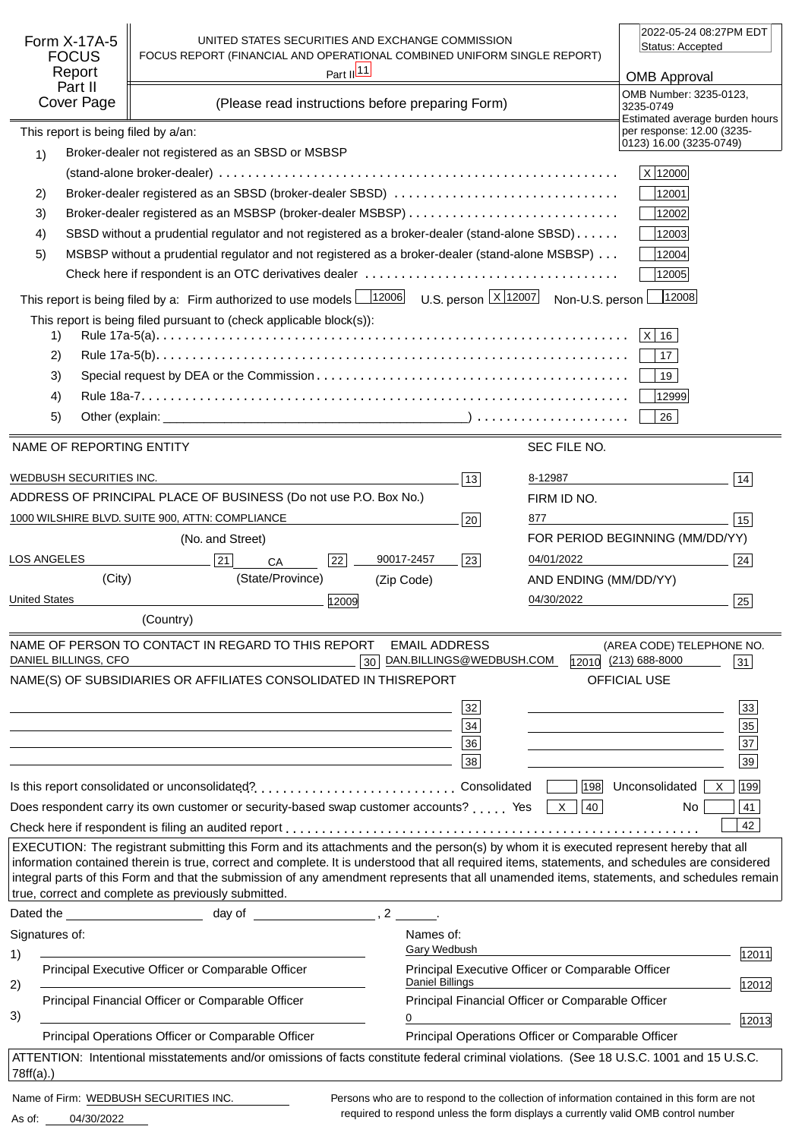| Form X-17A-5<br><b>FOCUS</b><br>Report | UNITED STATES SECURITIES AND EXCHANGE COMMISSION<br>FOCUS REPORT (FINANCIAL AND OPERATIONAL COMBINED UNIFORM SINGLE REPORT)                                                                                                                                                                                                                                                                                                            | Part II <sup>11</sup> |                           |                          |                                                    | 2022-05-24 08:27PM EDT<br>Status: Accepted<br><b>OMB Approval</b>                          |       |
|----------------------------------------|----------------------------------------------------------------------------------------------------------------------------------------------------------------------------------------------------------------------------------------------------------------------------------------------------------------------------------------------------------------------------------------------------------------------------------------|-----------------------|---------------------------|--------------------------|----------------------------------------------------|--------------------------------------------------------------------------------------------|-------|
| Part II<br>Cover Page                  | (Please read instructions before preparing Form)                                                                                                                                                                                                                                                                                                                                                                                       |                       |                           |                          |                                                    | OMB Number: 3235-0123,<br>3235-0749<br>Estimated average burden hours                      |       |
| This report is being filed by a/an:    |                                                                                                                                                                                                                                                                                                                                                                                                                                        |                       |                           |                          |                                                    | per response: 12.00 (3235-<br>0123) 16.00 (3235-0749)                                      |       |
| 1)                                     | Broker-dealer not registered as an SBSD or MSBSP                                                                                                                                                                                                                                                                                                                                                                                       |                       |                           |                          |                                                    |                                                                                            |       |
|                                        |                                                                                                                                                                                                                                                                                                                                                                                                                                        |                       |                           |                          |                                                    | X 12000                                                                                    |       |
| 2)                                     | Broker-dealer registered as an SBSD (broker-dealer SBSD)                                                                                                                                                                                                                                                                                                                                                                               |                       |                           |                          |                                                    | 12001                                                                                      |       |
| 3)                                     | SBSD without a prudential regulator and not registered as a broker-dealer (stand-alone SBSD)                                                                                                                                                                                                                                                                                                                                           |                       |                           |                          |                                                    | 12002                                                                                      |       |
| 4)<br>5)                               | MSBSP without a prudential regulator and not registered as a broker-dealer (stand-alone MSBSP)                                                                                                                                                                                                                                                                                                                                         |                       |                           |                          |                                                    | 12003<br>12004                                                                             |       |
|                                        |                                                                                                                                                                                                                                                                                                                                                                                                                                        |                       |                           |                          |                                                    | 12005                                                                                      |       |
|                                        |                                                                                                                                                                                                                                                                                                                                                                                                                                        |                       |                           |                          |                                                    |                                                                                            |       |
|                                        | This report is being filed by a: Firm authorized to use models $\boxed{12006}$ U.S. person $\boxed{X12007}$ Non-U.S. person                                                                                                                                                                                                                                                                                                            |                       |                           |                          |                                                    | 12008                                                                                      |       |
| 1)                                     | This report is being filed pursuant to (check applicable block(s)):                                                                                                                                                                                                                                                                                                                                                                    |                       |                           |                          |                                                    | X   16                                                                                     |       |
| 2)                                     |                                                                                                                                                                                                                                                                                                                                                                                                                                        |                       |                           |                          |                                                    | 17 <sup>2</sup>                                                                            |       |
| 3)                                     |                                                                                                                                                                                                                                                                                                                                                                                                                                        |                       |                           |                          |                                                    | 19                                                                                         |       |
| 4)                                     |                                                                                                                                                                                                                                                                                                                                                                                                                                        |                       |                           |                          |                                                    | 12999                                                                                      |       |
| 5)                                     |                                                                                                                                                                                                                                                                                                                                                                                                                                        |                       |                           |                          |                                                    | 26                                                                                         |       |
|                                        |                                                                                                                                                                                                                                                                                                                                                                                                                                        |                       |                           |                          |                                                    |                                                                                            |       |
| NAME OF REPORTING ENTITY               |                                                                                                                                                                                                                                                                                                                                                                                                                                        |                       |                           |                          | SEC FILE NO.                                       |                                                                                            |       |
| WEDBUSH SECURITIES INC.                |                                                                                                                                                                                                                                                                                                                                                                                                                                        |                       |                           | 13                       | 8-12987                                            |                                                                                            | 14    |
|                                        | ADDRESS OF PRINCIPAL PLACE OF BUSINESS (Do not use P.O. Box No.)                                                                                                                                                                                                                                                                                                                                                                       |                       |                           |                          | FIRM ID NO.                                        |                                                                                            |       |
|                                        | 1000 WILSHIRE BLVD. SUITE 900, ATTN: COMPLIANCE                                                                                                                                                                                                                                                                                                                                                                                        |                       |                           | 20                       | 877                                                |                                                                                            | 15    |
|                                        | (No. and Street)                                                                                                                                                                                                                                                                                                                                                                                                                       |                       |                           |                          |                                                    | FOR PERIOD BEGINNING (MM/DD/YY)                                                            |       |
| <b>LOS ANGELES</b>                     | 21<br>CA                                                                                                                                                                                                                                                                                                                                                                                                                               | 22                    | 90017-2457                | 23                       | 04/01/2022                                         |                                                                                            | 24    |
| (City)                                 | (State/Province)                                                                                                                                                                                                                                                                                                                                                                                                                       | (Zip Code)            |                           |                          | AND ENDING (MM/DD/YY)                              |                                                                                            |       |
| <b>United States</b>                   |                                                                                                                                                                                                                                                                                                                                                                                                                                        | 12009                 |                           |                          | 04/30/2022                                         |                                                                                            | 25    |
|                                        | (Country)                                                                                                                                                                                                                                                                                                                                                                                                                              |                       |                           |                          |                                                    |                                                                                            |       |
|                                        | NAME OF PERSON TO CONTACT IN REGARD TO THIS REPORT                                                                                                                                                                                                                                                                                                                                                                                     |                       | <b>EMAIL ADDRESS</b>      |                          |                                                    | (AREA CODE) TELEPHONE NO.                                                                  |       |
| DANIEL BILLINGS, CFO                   |                                                                                                                                                                                                                                                                                                                                                                                                                                        | 30                    |                           | DAN.BILLINGS@WEDBUSH.COM |                                                    | 12010 (213) 688-8000                                                                       | 31    |
|                                        | NAME(S) OF SUBSIDIARIES OR AFFILIATES CONSOLIDATED IN THIS REPORT                                                                                                                                                                                                                                                                                                                                                                      |                       |                           |                          |                                                    | OFFICIAL USE                                                                               |       |
|                                        |                                                                                                                                                                                                                                                                                                                                                                                                                                        |                       |                           | 32                       |                                                    |                                                                                            | 33    |
|                                        | and the control of the control of the control of the control of the control of the control of the control of the                                                                                                                                                                                                                                                                                                                       |                       |                           | 34                       |                                                    | the control of the control of the control of the control of the control of                 | 35    |
|                                        | and the control of the control of the control of the control of the control of the control of the control of the                                                                                                                                                                                                                                                                                                                       |                       |                           | 36                       |                                                    |                                                                                            | 37    |
|                                        |                                                                                                                                                                                                                                                                                                                                                                                                                                        |                       |                           | 38                       |                                                    |                                                                                            | 39    |
|                                        |                                                                                                                                                                                                                                                                                                                                                                                                                                        |                       |                           |                          |                                                    | 198  Unconsolidated  <br>- X - I                                                           | 199   |
|                                        | Does respondent carry its own customer or security-based swap customer accounts? Yes                                                                                                                                                                                                                                                                                                                                                   |                       |                           |                          | 40 <br> X                                          | No.                                                                                        | 41    |
|                                        |                                                                                                                                                                                                                                                                                                                                                                                                                                        |                       |                           |                          |                                                    |                                                                                            | 42    |
|                                        | EXECUTION: The registrant submitting this Form and its attachments and the person(s) by whom it is executed represent hereby that all<br>information contained therein is true, correct and complete. It is understood that all required items, statements, and schedules are considered<br>integral parts of this Form and that the submission of any amendment represents that all unamended items, statements, and schedules remain |                       |                           |                          |                                                    |                                                                                            |       |
|                                        | true, correct and complete as previously submitted.                                                                                                                                                                                                                                                                                                                                                                                    |                       |                           |                          |                                                    |                                                                                            |       |
|                                        | Dated the <u>contract of the contract of day of contract of the contract of the contract of the contract of the contract of the contract of the contract of the contract of the contract of the contract of the contract of the </u>                                                                                                                                                                                                   |                       |                           |                          |                                                    |                                                                                            |       |
| Signatures of:                         |                                                                                                                                                                                                                                                                                                                                                                                                                                        |                       | Names of:<br>Gary Wedbush |                          |                                                    |                                                                                            |       |
| 1)                                     | Principal Executive Officer or Comparable Officer                                                                                                                                                                                                                                                                                                                                                                                      |                       |                           |                          | Principal Executive Officer or Comparable Officer  |                                                                                            | 12011 |
| 2)                                     |                                                                                                                                                                                                                                                                                                                                                                                                                                        |                       | Daniel Billings           |                          |                                                    |                                                                                            | 12012 |
|                                        | Principal Financial Officer or Comparable Officer                                                                                                                                                                                                                                                                                                                                                                                      |                       |                           |                          | Principal Financial Officer or Comparable Officer  |                                                                                            |       |
| 3)                                     | Principal Operations Officer or Comparable Officer                                                                                                                                                                                                                                                                                                                                                                                     |                       | 0                         |                          | Principal Operations Officer or Comparable Officer |                                                                                            | 12013 |
|                                        | ATTENTION: Intentional misstatements and/or omissions of facts constitute federal criminal violations. (See 18 U.S.C. 1001 and 15 U.S.C.                                                                                                                                                                                                                                                                                               |                       |                           |                          |                                                    |                                                                                            |       |
| $78ff(a)$ .)                           |                                                                                                                                                                                                                                                                                                                                                                                                                                        |                       |                           |                          |                                                    |                                                                                            |       |
| Name of Firm: WEDBUSH SECURITIES INC.  |                                                                                                                                                                                                                                                                                                                                                                                                                                        |                       |                           |                          |                                                    | Persons who are to respond to the collection of information contained in this form are not |       |

04/30/2022 As of:

required to respond unless the form displays a currently valid OMB control number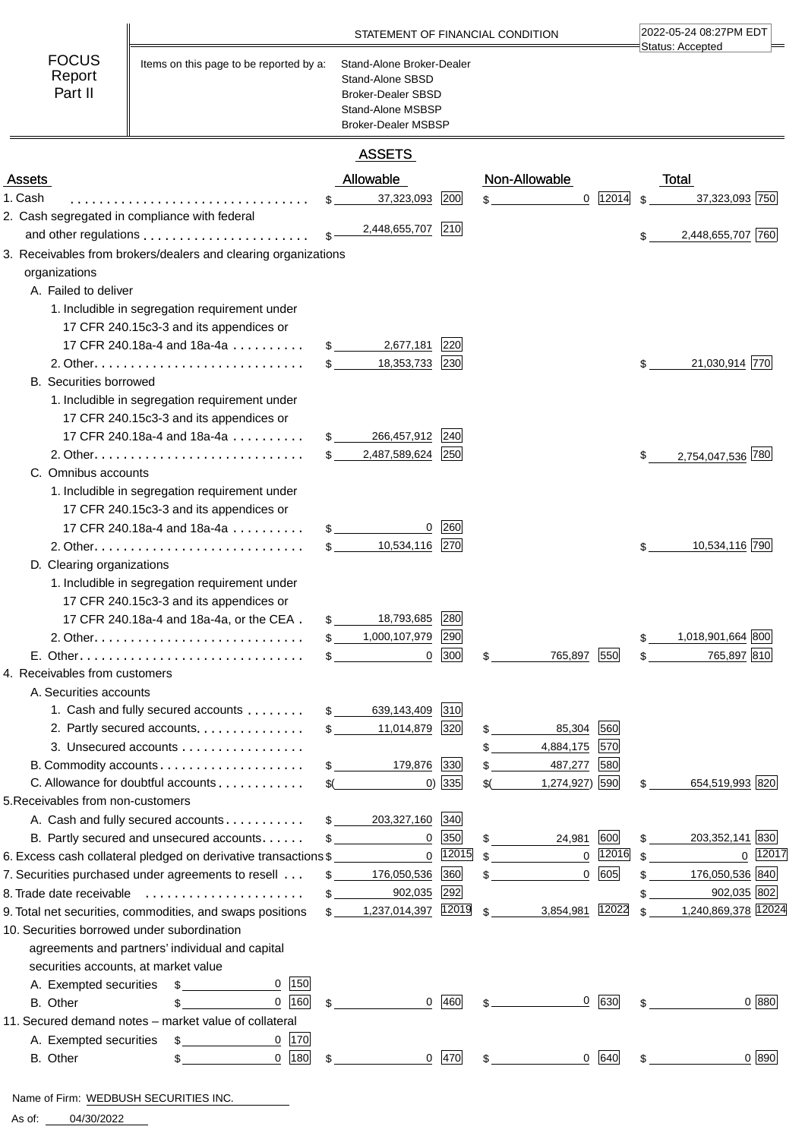| <b>FOCUS</b><br>Items on this page to be reported by a:<br>Stand-Alone Broker-Dealer<br>Report<br>Stand-Alone SBSD<br>Part II<br><b>Broker-Dealer SBSD</b><br>Stand-Alone MSBSP<br><b>Broker-Dealer MSBSP</b><br><b>ASSETS</b><br>Allowable<br>Non-Allowable<br>Assets<br>Total<br>1. Cash<br>0  12014 <br>37,323,093 750<br>37,323,093<br> 200 <br>\$<br>\$<br>2. Cash segregated in compliance with federal<br>210<br>2,448,655,707<br>2,448,655,707 760<br>\$<br>3. Receivables from brokers/dealers and clearing organizations<br>organizations<br>A. Failed to deliver<br>1. Includible in segregation requirement under<br>17 CFR 240.15c3-3 and its appendices or<br>220<br>17 CFR 240.18a-4 and 18a-4a<br>\$2,677,181<br>21,030,914 770<br>18,353,733<br> 230 <br><b>B.</b> Securities borrowed<br>1. Includible in segregation requirement under<br>17 CFR 240.15c3-3 and its appendices or<br>17 CFR 240.18a-4 and 18a-4a<br>266,457,912 240<br>$\mathbb{S}$ and $\mathbb{S}$<br>2,487,589,624<br>250<br>2,754,047,536 780<br>\$<br>C. Omnibus accounts<br>1. Includible in segregation requirement under<br>17 CFR 240.15c3-3 and its appendices or<br>17 CFR 240.18a-4 and 18a-4a<br>$0$ 260<br>10,534,116 790<br>10,534,116 270<br>$\sim$<br>\$<br>D. Clearing organizations<br>1. Includible in segregation requirement under<br>17 CFR 240.15c3-3 and its appendices or<br>18,793,685 280<br>17 CFR 240.18a-4 and 18a-4a, or the CEA.<br>S.<br>1,018,901,664 800<br>1,000,107,979<br>290<br>S.<br>765,897 810<br>$0 \mid 300$<br>765,897 550<br>$\mathbb{S}$<br>\$<br>4. Receivables from customers<br>A. Securities accounts<br>1. Cash and fully secured accounts<br>639,143,409<br> 310 <br>$\mathbb{S}$<br>$\frac{1}{2}$<br>2. Partly secured accounts.<br>11,014,879<br>560<br>320<br>85,304<br>\$<br>4,884,175 570<br>3. Unsecured accounts<br>\$<br>179,876 330<br>487,277<br>580<br>$\mathbb{S}$<br>\$<br>C. Allowance for doubtful accounts<br>$\mathcal{S}($<br>$0)$ 335<br>1,274,927) 590<br>654,519,993 820<br>\$(<br>\$<br>5. Receivables from non-customers<br>203,327,160<br>340<br>A. Cash and fully secured accounts<br>$\mathbb{S}$<br>350<br>600<br>203, 352, 141 830<br>B. Partly secured and unsecured accounts.<br>0<br>24,981<br>$\mathbb{S}$<br>$\mathbb{S}$<br>$\mathsf{\$}$<br>0 12015<br>0 12016<br>12017<br>6. Excess cash collateral pledged on derivative transactions \$<br>$\mathbb{S}$<br>$\mathbb{S}$<br>0<br>$0$ 605<br>176,050,536 840<br>7. Securities purchased under agreements to resell<br>176,050,536<br>360<br>$\mathbb{S}$<br>$\frac{1}{2}$<br>\$<br>902,035<br> 292 <br>902,035 802<br>8. Trade date receivable<br>$\mathbb{S}$<br>\$<br>12019<br>3,854,981 12022<br>1,240,869,378 12024<br>1,237,014,397<br>9. Total net securities, commodities, and swaps positions<br>$\mathbb{S}$<br>\$<br>\$<br>10. Securities borrowed under subordination<br>agreements and partners' individual and capital<br>securities accounts, at market value<br>$0$   150<br>A. Exempted securities<br>$\frac{1}{2}$<br>0  630 <br>0  160 <br>0 880 <br>B. Other<br>$\mathbf{0}$<br>460<br>$\mathfrak s$<br>$\mathbb{S}$<br>$\mathbb{S}$<br>11. Secured demand notes - market value of collateral<br>$0$   170<br>A. Exempted securities<br>$\sim$<br>$0$ 180<br>0 890 <br>0  470<br>B. Other<br>0  640 <br>\$<br>\$<br>\$<br>\$ |  | STATEMENT OF FINANCIAL CONDITION |  |  | 2022-05-24 08:27PM EDT<br>Status: Accepted |  |
|------------------------------------------------------------------------------------------------------------------------------------------------------------------------------------------------------------------------------------------------------------------------------------------------------------------------------------------------------------------------------------------------------------------------------------------------------------------------------------------------------------------------------------------------------------------------------------------------------------------------------------------------------------------------------------------------------------------------------------------------------------------------------------------------------------------------------------------------------------------------------------------------------------------------------------------------------------------------------------------------------------------------------------------------------------------------------------------------------------------------------------------------------------------------------------------------------------------------------------------------------------------------------------------------------------------------------------------------------------------------------------------------------------------------------------------------------------------------------------------------------------------------------------------------------------------------------------------------------------------------------------------------------------------------------------------------------------------------------------------------------------------------------------------------------------------------------------------------------------------------------------------------------------------------------------------------------------------------------------------------------------------------------------------------------------------------------------------------------------------------------------------------------------------------------------------------------------------------------------------------------------------------------------------------------------------------------------------------------------------------------------------------------------------------------------------------------------------------------------------------------------------------------------------------------------------------------------------------------------------------------------------------------------------------------------------------------------------------------------------------------------------------------------------------------------------------------------------------------------------------------------------------------------------------------------------------------------------------------------------------------------------------------------------------------------------------------------------------------------------------------------------------------------------------------------------------------------------------------------------------------------------------------------------------------------------------------------------------------------------------------|--|----------------------------------|--|--|--------------------------------------------|--|
|                                                                                                                                                                                                                                                                                                                                                                                                                                                                                                                                                                                                                                                                                                                                                                                                                                                                                                                                                                                                                                                                                                                                                                                                                                                                                                                                                                                                                                                                                                                                                                                                                                                                                                                                                                                                                                                                                                                                                                                                                                                                                                                                                                                                                                                                                                                                                                                                                                                                                                                                                                                                                                                                                                                                                                                                                                                                                                                                                                                                                                                                                                                                                                                                                                                                                                                                                                              |  |                                  |  |  |                                            |  |
|                                                                                                                                                                                                                                                                                                                                                                                                                                                                                                                                                                                                                                                                                                                                                                                                                                                                                                                                                                                                                                                                                                                                                                                                                                                                                                                                                                                                                                                                                                                                                                                                                                                                                                                                                                                                                                                                                                                                                                                                                                                                                                                                                                                                                                                                                                                                                                                                                                                                                                                                                                                                                                                                                                                                                                                                                                                                                                                                                                                                                                                                                                                                                                                                                                                                                                                                                                              |  |                                  |  |  |                                            |  |
|                                                                                                                                                                                                                                                                                                                                                                                                                                                                                                                                                                                                                                                                                                                                                                                                                                                                                                                                                                                                                                                                                                                                                                                                                                                                                                                                                                                                                                                                                                                                                                                                                                                                                                                                                                                                                                                                                                                                                                                                                                                                                                                                                                                                                                                                                                                                                                                                                                                                                                                                                                                                                                                                                                                                                                                                                                                                                                                                                                                                                                                                                                                                                                                                                                                                                                                                                                              |  |                                  |  |  |                                            |  |
|                                                                                                                                                                                                                                                                                                                                                                                                                                                                                                                                                                                                                                                                                                                                                                                                                                                                                                                                                                                                                                                                                                                                                                                                                                                                                                                                                                                                                                                                                                                                                                                                                                                                                                                                                                                                                                                                                                                                                                                                                                                                                                                                                                                                                                                                                                                                                                                                                                                                                                                                                                                                                                                                                                                                                                                                                                                                                                                                                                                                                                                                                                                                                                                                                                                                                                                                                                              |  |                                  |  |  |                                            |  |
|                                                                                                                                                                                                                                                                                                                                                                                                                                                                                                                                                                                                                                                                                                                                                                                                                                                                                                                                                                                                                                                                                                                                                                                                                                                                                                                                                                                                                                                                                                                                                                                                                                                                                                                                                                                                                                                                                                                                                                                                                                                                                                                                                                                                                                                                                                                                                                                                                                                                                                                                                                                                                                                                                                                                                                                                                                                                                                                                                                                                                                                                                                                                                                                                                                                                                                                                                                              |  |                                  |  |  |                                            |  |
|                                                                                                                                                                                                                                                                                                                                                                                                                                                                                                                                                                                                                                                                                                                                                                                                                                                                                                                                                                                                                                                                                                                                                                                                                                                                                                                                                                                                                                                                                                                                                                                                                                                                                                                                                                                                                                                                                                                                                                                                                                                                                                                                                                                                                                                                                                                                                                                                                                                                                                                                                                                                                                                                                                                                                                                                                                                                                                                                                                                                                                                                                                                                                                                                                                                                                                                                                                              |  |                                  |  |  |                                            |  |
|                                                                                                                                                                                                                                                                                                                                                                                                                                                                                                                                                                                                                                                                                                                                                                                                                                                                                                                                                                                                                                                                                                                                                                                                                                                                                                                                                                                                                                                                                                                                                                                                                                                                                                                                                                                                                                                                                                                                                                                                                                                                                                                                                                                                                                                                                                                                                                                                                                                                                                                                                                                                                                                                                                                                                                                                                                                                                                                                                                                                                                                                                                                                                                                                                                                                                                                                                                              |  |                                  |  |  |                                            |  |
|                                                                                                                                                                                                                                                                                                                                                                                                                                                                                                                                                                                                                                                                                                                                                                                                                                                                                                                                                                                                                                                                                                                                                                                                                                                                                                                                                                                                                                                                                                                                                                                                                                                                                                                                                                                                                                                                                                                                                                                                                                                                                                                                                                                                                                                                                                                                                                                                                                                                                                                                                                                                                                                                                                                                                                                                                                                                                                                                                                                                                                                                                                                                                                                                                                                                                                                                                                              |  |                                  |  |  |                                            |  |
|                                                                                                                                                                                                                                                                                                                                                                                                                                                                                                                                                                                                                                                                                                                                                                                                                                                                                                                                                                                                                                                                                                                                                                                                                                                                                                                                                                                                                                                                                                                                                                                                                                                                                                                                                                                                                                                                                                                                                                                                                                                                                                                                                                                                                                                                                                                                                                                                                                                                                                                                                                                                                                                                                                                                                                                                                                                                                                                                                                                                                                                                                                                                                                                                                                                                                                                                                                              |  |                                  |  |  |                                            |  |
|                                                                                                                                                                                                                                                                                                                                                                                                                                                                                                                                                                                                                                                                                                                                                                                                                                                                                                                                                                                                                                                                                                                                                                                                                                                                                                                                                                                                                                                                                                                                                                                                                                                                                                                                                                                                                                                                                                                                                                                                                                                                                                                                                                                                                                                                                                                                                                                                                                                                                                                                                                                                                                                                                                                                                                                                                                                                                                                                                                                                                                                                                                                                                                                                                                                                                                                                                                              |  |                                  |  |  |                                            |  |
|                                                                                                                                                                                                                                                                                                                                                                                                                                                                                                                                                                                                                                                                                                                                                                                                                                                                                                                                                                                                                                                                                                                                                                                                                                                                                                                                                                                                                                                                                                                                                                                                                                                                                                                                                                                                                                                                                                                                                                                                                                                                                                                                                                                                                                                                                                                                                                                                                                                                                                                                                                                                                                                                                                                                                                                                                                                                                                                                                                                                                                                                                                                                                                                                                                                                                                                                                                              |  |                                  |  |  |                                            |  |
|                                                                                                                                                                                                                                                                                                                                                                                                                                                                                                                                                                                                                                                                                                                                                                                                                                                                                                                                                                                                                                                                                                                                                                                                                                                                                                                                                                                                                                                                                                                                                                                                                                                                                                                                                                                                                                                                                                                                                                                                                                                                                                                                                                                                                                                                                                                                                                                                                                                                                                                                                                                                                                                                                                                                                                                                                                                                                                                                                                                                                                                                                                                                                                                                                                                                                                                                                                              |  |                                  |  |  |                                            |  |
|                                                                                                                                                                                                                                                                                                                                                                                                                                                                                                                                                                                                                                                                                                                                                                                                                                                                                                                                                                                                                                                                                                                                                                                                                                                                                                                                                                                                                                                                                                                                                                                                                                                                                                                                                                                                                                                                                                                                                                                                                                                                                                                                                                                                                                                                                                                                                                                                                                                                                                                                                                                                                                                                                                                                                                                                                                                                                                                                                                                                                                                                                                                                                                                                                                                                                                                                                                              |  |                                  |  |  |                                            |  |
|                                                                                                                                                                                                                                                                                                                                                                                                                                                                                                                                                                                                                                                                                                                                                                                                                                                                                                                                                                                                                                                                                                                                                                                                                                                                                                                                                                                                                                                                                                                                                                                                                                                                                                                                                                                                                                                                                                                                                                                                                                                                                                                                                                                                                                                                                                                                                                                                                                                                                                                                                                                                                                                                                                                                                                                                                                                                                                                                                                                                                                                                                                                                                                                                                                                                                                                                                                              |  |                                  |  |  |                                            |  |
|                                                                                                                                                                                                                                                                                                                                                                                                                                                                                                                                                                                                                                                                                                                                                                                                                                                                                                                                                                                                                                                                                                                                                                                                                                                                                                                                                                                                                                                                                                                                                                                                                                                                                                                                                                                                                                                                                                                                                                                                                                                                                                                                                                                                                                                                                                                                                                                                                                                                                                                                                                                                                                                                                                                                                                                                                                                                                                                                                                                                                                                                                                                                                                                                                                                                                                                                                                              |  |                                  |  |  |                                            |  |
|                                                                                                                                                                                                                                                                                                                                                                                                                                                                                                                                                                                                                                                                                                                                                                                                                                                                                                                                                                                                                                                                                                                                                                                                                                                                                                                                                                                                                                                                                                                                                                                                                                                                                                                                                                                                                                                                                                                                                                                                                                                                                                                                                                                                                                                                                                                                                                                                                                                                                                                                                                                                                                                                                                                                                                                                                                                                                                                                                                                                                                                                                                                                                                                                                                                                                                                                                                              |  |                                  |  |  |                                            |  |
|                                                                                                                                                                                                                                                                                                                                                                                                                                                                                                                                                                                                                                                                                                                                                                                                                                                                                                                                                                                                                                                                                                                                                                                                                                                                                                                                                                                                                                                                                                                                                                                                                                                                                                                                                                                                                                                                                                                                                                                                                                                                                                                                                                                                                                                                                                                                                                                                                                                                                                                                                                                                                                                                                                                                                                                                                                                                                                                                                                                                                                                                                                                                                                                                                                                                                                                                                                              |  |                                  |  |  |                                            |  |
|                                                                                                                                                                                                                                                                                                                                                                                                                                                                                                                                                                                                                                                                                                                                                                                                                                                                                                                                                                                                                                                                                                                                                                                                                                                                                                                                                                                                                                                                                                                                                                                                                                                                                                                                                                                                                                                                                                                                                                                                                                                                                                                                                                                                                                                                                                                                                                                                                                                                                                                                                                                                                                                                                                                                                                                                                                                                                                                                                                                                                                                                                                                                                                                                                                                                                                                                                                              |  |                                  |  |  |                                            |  |
|                                                                                                                                                                                                                                                                                                                                                                                                                                                                                                                                                                                                                                                                                                                                                                                                                                                                                                                                                                                                                                                                                                                                                                                                                                                                                                                                                                                                                                                                                                                                                                                                                                                                                                                                                                                                                                                                                                                                                                                                                                                                                                                                                                                                                                                                                                                                                                                                                                                                                                                                                                                                                                                                                                                                                                                                                                                                                                                                                                                                                                                                                                                                                                                                                                                                                                                                                                              |  |                                  |  |  |                                            |  |
|                                                                                                                                                                                                                                                                                                                                                                                                                                                                                                                                                                                                                                                                                                                                                                                                                                                                                                                                                                                                                                                                                                                                                                                                                                                                                                                                                                                                                                                                                                                                                                                                                                                                                                                                                                                                                                                                                                                                                                                                                                                                                                                                                                                                                                                                                                                                                                                                                                                                                                                                                                                                                                                                                                                                                                                                                                                                                                                                                                                                                                                                                                                                                                                                                                                                                                                                                                              |  |                                  |  |  |                                            |  |
|                                                                                                                                                                                                                                                                                                                                                                                                                                                                                                                                                                                                                                                                                                                                                                                                                                                                                                                                                                                                                                                                                                                                                                                                                                                                                                                                                                                                                                                                                                                                                                                                                                                                                                                                                                                                                                                                                                                                                                                                                                                                                                                                                                                                                                                                                                                                                                                                                                                                                                                                                                                                                                                                                                                                                                                                                                                                                                                                                                                                                                                                                                                                                                                                                                                                                                                                                                              |  |                                  |  |  |                                            |  |
|                                                                                                                                                                                                                                                                                                                                                                                                                                                                                                                                                                                                                                                                                                                                                                                                                                                                                                                                                                                                                                                                                                                                                                                                                                                                                                                                                                                                                                                                                                                                                                                                                                                                                                                                                                                                                                                                                                                                                                                                                                                                                                                                                                                                                                                                                                                                                                                                                                                                                                                                                                                                                                                                                                                                                                                                                                                                                                                                                                                                                                                                                                                                                                                                                                                                                                                                                                              |  |                                  |  |  |                                            |  |
|                                                                                                                                                                                                                                                                                                                                                                                                                                                                                                                                                                                                                                                                                                                                                                                                                                                                                                                                                                                                                                                                                                                                                                                                                                                                                                                                                                                                                                                                                                                                                                                                                                                                                                                                                                                                                                                                                                                                                                                                                                                                                                                                                                                                                                                                                                                                                                                                                                                                                                                                                                                                                                                                                                                                                                                                                                                                                                                                                                                                                                                                                                                                                                                                                                                                                                                                                                              |  |                                  |  |  |                                            |  |
|                                                                                                                                                                                                                                                                                                                                                                                                                                                                                                                                                                                                                                                                                                                                                                                                                                                                                                                                                                                                                                                                                                                                                                                                                                                                                                                                                                                                                                                                                                                                                                                                                                                                                                                                                                                                                                                                                                                                                                                                                                                                                                                                                                                                                                                                                                                                                                                                                                                                                                                                                                                                                                                                                                                                                                                                                                                                                                                                                                                                                                                                                                                                                                                                                                                                                                                                                                              |  |                                  |  |  |                                            |  |
|                                                                                                                                                                                                                                                                                                                                                                                                                                                                                                                                                                                                                                                                                                                                                                                                                                                                                                                                                                                                                                                                                                                                                                                                                                                                                                                                                                                                                                                                                                                                                                                                                                                                                                                                                                                                                                                                                                                                                                                                                                                                                                                                                                                                                                                                                                                                                                                                                                                                                                                                                                                                                                                                                                                                                                                                                                                                                                                                                                                                                                                                                                                                                                                                                                                                                                                                                                              |  |                                  |  |  |                                            |  |
|                                                                                                                                                                                                                                                                                                                                                                                                                                                                                                                                                                                                                                                                                                                                                                                                                                                                                                                                                                                                                                                                                                                                                                                                                                                                                                                                                                                                                                                                                                                                                                                                                                                                                                                                                                                                                                                                                                                                                                                                                                                                                                                                                                                                                                                                                                                                                                                                                                                                                                                                                                                                                                                                                                                                                                                                                                                                                                                                                                                                                                                                                                                                                                                                                                                                                                                                                                              |  |                                  |  |  |                                            |  |
|                                                                                                                                                                                                                                                                                                                                                                                                                                                                                                                                                                                                                                                                                                                                                                                                                                                                                                                                                                                                                                                                                                                                                                                                                                                                                                                                                                                                                                                                                                                                                                                                                                                                                                                                                                                                                                                                                                                                                                                                                                                                                                                                                                                                                                                                                                                                                                                                                                                                                                                                                                                                                                                                                                                                                                                                                                                                                                                                                                                                                                                                                                                                                                                                                                                                                                                                                                              |  |                                  |  |  |                                            |  |
|                                                                                                                                                                                                                                                                                                                                                                                                                                                                                                                                                                                                                                                                                                                                                                                                                                                                                                                                                                                                                                                                                                                                                                                                                                                                                                                                                                                                                                                                                                                                                                                                                                                                                                                                                                                                                                                                                                                                                                                                                                                                                                                                                                                                                                                                                                                                                                                                                                                                                                                                                                                                                                                                                                                                                                                                                                                                                                                                                                                                                                                                                                                                                                                                                                                                                                                                                                              |  |                                  |  |  |                                            |  |
|                                                                                                                                                                                                                                                                                                                                                                                                                                                                                                                                                                                                                                                                                                                                                                                                                                                                                                                                                                                                                                                                                                                                                                                                                                                                                                                                                                                                                                                                                                                                                                                                                                                                                                                                                                                                                                                                                                                                                                                                                                                                                                                                                                                                                                                                                                                                                                                                                                                                                                                                                                                                                                                                                                                                                                                                                                                                                                                                                                                                                                                                                                                                                                                                                                                                                                                                                                              |  |                                  |  |  |                                            |  |
|                                                                                                                                                                                                                                                                                                                                                                                                                                                                                                                                                                                                                                                                                                                                                                                                                                                                                                                                                                                                                                                                                                                                                                                                                                                                                                                                                                                                                                                                                                                                                                                                                                                                                                                                                                                                                                                                                                                                                                                                                                                                                                                                                                                                                                                                                                                                                                                                                                                                                                                                                                                                                                                                                                                                                                                                                                                                                                                                                                                                                                                                                                                                                                                                                                                                                                                                                                              |  |                                  |  |  |                                            |  |
|                                                                                                                                                                                                                                                                                                                                                                                                                                                                                                                                                                                                                                                                                                                                                                                                                                                                                                                                                                                                                                                                                                                                                                                                                                                                                                                                                                                                                                                                                                                                                                                                                                                                                                                                                                                                                                                                                                                                                                                                                                                                                                                                                                                                                                                                                                                                                                                                                                                                                                                                                                                                                                                                                                                                                                                                                                                                                                                                                                                                                                                                                                                                                                                                                                                                                                                                                                              |  |                                  |  |  |                                            |  |
|                                                                                                                                                                                                                                                                                                                                                                                                                                                                                                                                                                                                                                                                                                                                                                                                                                                                                                                                                                                                                                                                                                                                                                                                                                                                                                                                                                                                                                                                                                                                                                                                                                                                                                                                                                                                                                                                                                                                                                                                                                                                                                                                                                                                                                                                                                                                                                                                                                                                                                                                                                                                                                                                                                                                                                                                                                                                                                                                                                                                                                                                                                                                                                                                                                                                                                                                                                              |  |                                  |  |  |                                            |  |
|                                                                                                                                                                                                                                                                                                                                                                                                                                                                                                                                                                                                                                                                                                                                                                                                                                                                                                                                                                                                                                                                                                                                                                                                                                                                                                                                                                                                                                                                                                                                                                                                                                                                                                                                                                                                                                                                                                                                                                                                                                                                                                                                                                                                                                                                                                                                                                                                                                                                                                                                                                                                                                                                                                                                                                                                                                                                                                                                                                                                                                                                                                                                                                                                                                                                                                                                                                              |  |                                  |  |  |                                            |  |
|                                                                                                                                                                                                                                                                                                                                                                                                                                                                                                                                                                                                                                                                                                                                                                                                                                                                                                                                                                                                                                                                                                                                                                                                                                                                                                                                                                                                                                                                                                                                                                                                                                                                                                                                                                                                                                                                                                                                                                                                                                                                                                                                                                                                                                                                                                                                                                                                                                                                                                                                                                                                                                                                                                                                                                                                                                                                                                                                                                                                                                                                                                                                                                                                                                                                                                                                                                              |  |                                  |  |  |                                            |  |
|                                                                                                                                                                                                                                                                                                                                                                                                                                                                                                                                                                                                                                                                                                                                                                                                                                                                                                                                                                                                                                                                                                                                                                                                                                                                                                                                                                                                                                                                                                                                                                                                                                                                                                                                                                                                                                                                                                                                                                                                                                                                                                                                                                                                                                                                                                                                                                                                                                                                                                                                                                                                                                                                                                                                                                                                                                                                                                                                                                                                                                                                                                                                                                                                                                                                                                                                                                              |  |                                  |  |  |                                            |  |
|                                                                                                                                                                                                                                                                                                                                                                                                                                                                                                                                                                                                                                                                                                                                                                                                                                                                                                                                                                                                                                                                                                                                                                                                                                                                                                                                                                                                                                                                                                                                                                                                                                                                                                                                                                                                                                                                                                                                                                                                                                                                                                                                                                                                                                                                                                                                                                                                                                                                                                                                                                                                                                                                                                                                                                                                                                                                                                                                                                                                                                                                                                                                                                                                                                                                                                                                                                              |  |                                  |  |  |                                            |  |
|                                                                                                                                                                                                                                                                                                                                                                                                                                                                                                                                                                                                                                                                                                                                                                                                                                                                                                                                                                                                                                                                                                                                                                                                                                                                                                                                                                                                                                                                                                                                                                                                                                                                                                                                                                                                                                                                                                                                                                                                                                                                                                                                                                                                                                                                                                                                                                                                                                                                                                                                                                                                                                                                                                                                                                                                                                                                                                                                                                                                                                                                                                                                                                                                                                                                                                                                                                              |  |                                  |  |  |                                            |  |
|                                                                                                                                                                                                                                                                                                                                                                                                                                                                                                                                                                                                                                                                                                                                                                                                                                                                                                                                                                                                                                                                                                                                                                                                                                                                                                                                                                                                                                                                                                                                                                                                                                                                                                                                                                                                                                                                                                                                                                                                                                                                                                                                                                                                                                                                                                                                                                                                                                                                                                                                                                                                                                                                                                                                                                                                                                                                                                                                                                                                                                                                                                                                                                                                                                                                                                                                                                              |  |                                  |  |  |                                            |  |
|                                                                                                                                                                                                                                                                                                                                                                                                                                                                                                                                                                                                                                                                                                                                                                                                                                                                                                                                                                                                                                                                                                                                                                                                                                                                                                                                                                                                                                                                                                                                                                                                                                                                                                                                                                                                                                                                                                                                                                                                                                                                                                                                                                                                                                                                                                                                                                                                                                                                                                                                                                                                                                                                                                                                                                                                                                                                                                                                                                                                                                                                                                                                                                                                                                                                                                                                                                              |  |                                  |  |  |                                            |  |
|                                                                                                                                                                                                                                                                                                                                                                                                                                                                                                                                                                                                                                                                                                                                                                                                                                                                                                                                                                                                                                                                                                                                                                                                                                                                                                                                                                                                                                                                                                                                                                                                                                                                                                                                                                                                                                                                                                                                                                                                                                                                                                                                                                                                                                                                                                                                                                                                                                                                                                                                                                                                                                                                                                                                                                                                                                                                                                                                                                                                                                                                                                                                                                                                                                                                                                                                                                              |  |                                  |  |  |                                            |  |
|                                                                                                                                                                                                                                                                                                                                                                                                                                                                                                                                                                                                                                                                                                                                                                                                                                                                                                                                                                                                                                                                                                                                                                                                                                                                                                                                                                                                                                                                                                                                                                                                                                                                                                                                                                                                                                                                                                                                                                                                                                                                                                                                                                                                                                                                                                                                                                                                                                                                                                                                                                                                                                                                                                                                                                                                                                                                                                                                                                                                                                                                                                                                                                                                                                                                                                                                                                              |  |                                  |  |  |                                            |  |
|                                                                                                                                                                                                                                                                                                                                                                                                                                                                                                                                                                                                                                                                                                                                                                                                                                                                                                                                                                                                                                                                                                                                                                                                                                                                                                                                                                                                                                                                                                                                                                                                                                                                                                                                                                                                                                                                                                                                                                                                                                                                                                                                                                                                                                                                                                                                                                                                                                                                                                                                                                                                                                                                                                                                                                                                                                                                                                                                                                                                                                                                                                                                                                                                                                                                                                                                                                              |  |                                  |  |  |                                            |  |
|                                                                                                                                                                                                                                                                                                                                                                                                                                                                                                                                                                                                                                                                                                                                                                                                                                                                                                                                                                                                                                                                                                                                                                                                                                                                                                                                                                                                                                                                                                                                                                                                                                                                                                                                                                                                                                                                                                                                                                                                                                                                                                                                                                                                                                                                                                                                                                                                                                                                                                                                                                                                                                                                                                                                                                                                                                                                                                                                                                                                                                                                                                                                                                                                                                                                                                                                                                              |  |                                  |  |  |                                            |  |
|                                                                                                                                                                                                                                                                                                                                                                                                                                                                                                                                                                                                                                                                                                                                                                                                                                                                                                                                                                                                                                                                                                                                                                                                                                                                                                                                                                                                                                                                                                                                                                                                                                                                                                                                                                                                                                                                                                                                                                                                                                                                                                                                                                                                                                                                                                                                                                                                                                                                                                                                                                                                                                                                                                                                                                                                                                                                                                                                                                                                                                                                                                                                                                                                                                                                                                                                                                              |  |                                  |  |  |                                            |  |
|                                                                                                                                                                                                                                                                                                                                                                                                                                                                                                                                                                                                                                                                                                                                                                                                                                                                                                                                                                                                                                                                                                                                                                                                                                                                                                                                                                                                                                                                                                                                                                                                                                                                                                                                                                                                                                                                                                                                                                                                                                                                                                                                                                                                                                                                                                                                                                                                                                                                                                                                                                                                                                                                                                                                                                                                                                                                                                                                                                                                                                                                                                                                                                                                                                                                                                                                                                              |  |                                  |  |  |                                            |  |
|                                                                                                                                                                                                                                                                                                                                                                                                                                                                                                                                                                                                                                                                                                                                                                                                                                                                                                                                                                                                                                                                                                                                                                                                                                                                                                                                                                                                                                                                                                                                                                                                                                                                                                                                                                                                                                                                                                                                                                                                                                                                                                                                                                                                                                                                                                                                                                                                                                                                                                                                                                                                                                                                                                                                                                                                                                                                                                                                                                                                                                                                                                                                                                                                                                                                                                                                                                              |  |                                  |  |  |                                            |  |
|                                                                                                                                                                                                                                                                                                                                                                                                                                                                                                                                                                                                                                                                                                                                                                                                                                                                                                                                                                                                                                                                                                                                                                                                                                                                                                                                                                                                                                                                                                                                                                                                                                                                                                                                                                                                                                                                                                                                                                                                                                                                                                                                                                                                                                                                                                                                                                                                                                                                                                                                                                                                                                                                                                                                                                                                                                                                                                                                                                                                                                                                                                                                                                                                                                                                                                                                                                              |  |                                  |  |  |                                            |  |
|                                                                                                                                                                                                                                                                                                                                                                                                                                                                                                                                                                                                                                                                                                                                                                                                                                                                                                                                                                                                                                                                                                                                                                                                                                                                                                                                                                                                                                                                                                                                                                                                                                                                                                                                                                                                                                                                                                                                                                                                                                                                                                                                                                                                                                                                                                                                                                                                                                                                                                                                                                                                                                                                                                                                                                                                                                                                                                                                                                                                                                                                                                                                                                                                                                                                                                                                                                              |  |                                  |  |  |                                            |  |
|                                                                                                                                                                                                                                                                                                                                                                                                                                                                                                                                                                                                                                                                                                                                                                                                                                                                                                                                                                                                                                                                                                                                                                                                                                                                                                                                                                                                                                                                                                                                                                                                                                                                                                                                                                                                                                                                                                                                                                                                                                                                                                                                                                                                                                                                                                                                                                                                                                                                                                                                                                                                                                                                                                                                                                                                                                                                                                                                                                                                                                                                                                                                                                                                                                                                                                                                                                              |  |                                  |  |  |                                            |  |
|                                                                                                                                                                                                                                                                                                                                                                                                                                                                                                                                                                                                                                                                                                                                                                                                                                                                                                                                                                                                                                                                                                                                                                                                                                                                                                                                                                                                                                                                                                                                                                                                                                                                                                                                                                                                                                                                                                                                                                                                                                                                                                                                                                                                                                                                                                                                                                                                                                                                                                                                                                                                                                                                                                                                                                                                                                                                                                                                                                                                                                                                                                                                                                                                                                                                                                                                                                              |  |                                  |  |  |                                            |  |
|                                                                                                                                                                                                                                                                                                                                                                                                                                                                                                                                                                                                                                                                                                                                                                                                                                                                                                                                                                                                                                                                                                                                                                                                                                                                                                                                                                                                                                                                                                                                                                                                                                                                                                                                                                                                                                                                                                                                                                                                                                                                                                                                                                                                                                                                                                                                                                                                                                                                                                                                                                                                                                                                                                                                                                                                                                                                                                                                                                                                                                                                                                                                                                                                                                                                                                                                                                              |  |                                  |  |  |                                            |  |

Name of Firm: WEDBUSH SECURITIES INC.

04/30/2022 As of: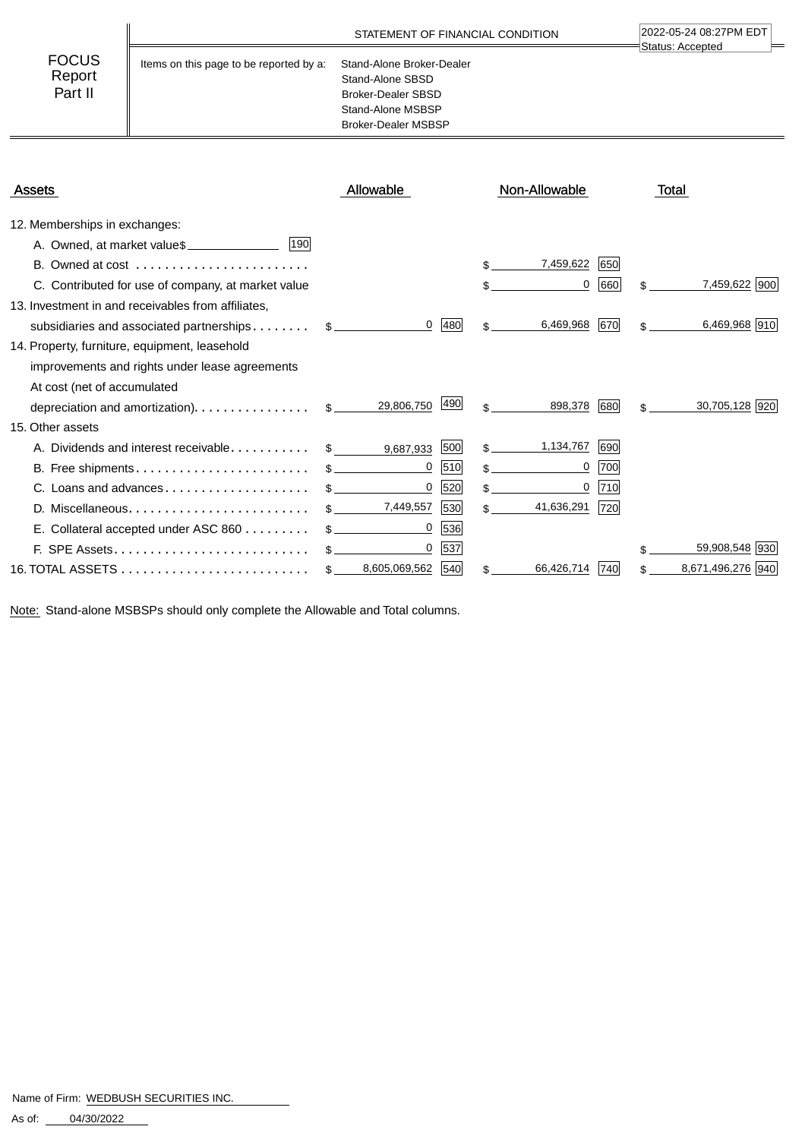|                                   |                                         | STATEMENT OF FINANCIAL CONDITION                                                                                       | 2022-05-24 08:27PM EDT<br>Status: Accepted |
|-----------------------------------|-----------------------------------------|------------------------------------------------------------------------------------------------------------------------|--------------------------------------------|
| <b>FOCUS</b><br>Report<br>Part II | Items on this page to be reported by a: | Stand-Alone Broker-Dealer<br>Stand-Alone SBSD<br>Broker-Dealer SBSD<br>Stand-Alone MSBSP<br><b>Broker-Dealer MSBSP</b> |                                            |

| <b>Assets</b>                                            | Allowable                 |             | Non-Allowable     | Total                 |
|----------------------------------------------------------|---------------------------|-------------|-------------------|-----------------------|
| 12. Memberships in exchanges:                            |                           |             |                   |                       |
| 190 <br>A. Owned, at market value\$                      |                           |             |                   |                       |
| Owned at $cost$<br>В.                                    |                           |             | 7,459,622<br>650  |                       |
| C. Contributed for use of company, at market value       |                           |             | 0<br>660          | 7,459,622 900         |
| 13. Investment in and receivables from affiliates,       |                           |             |                   |                       |
| subsidiaries and associated partnerships \$              | $\mathbf 0$               | 480<br>\$.  | 6,469,968<br>670  | 6,469,968 910<br>\$   |
| 14. Property, furniture, equipment, leasehold            |                           |             |                   |                       |
| improvements and rights under lease agreements           |                           |             |                   |                       |
| At cost (net of accumulated                              |                           |             |                   |                       |
| depreciation and amortization). \$                       | 29,806,750                | 490 <br>\$. | 898,378<br>680    | 30,705,128 920<br>\$. |
| 15. Other assets                                         |                           |             |                   |                       |
| A. Dividends and interest receivable                     | $\mathbb{S}$<br>9,687,933 | 500<br>\$   | 1,134,767<br>690  |                       |
| B. Free shipments                                        | 0                         | 510<br>\$   | 700               |                       |
| -cans and advances $\dots\dots\dots\dots\dots\dots\dots$ | 0                         | 520<br>\$.  | 710 <br>$\Omega$  |                       |
|                                                          | 7,449,557                 | 530<br>\$.  | 41,636,291<br>720 |                       |
| Collateral accepted under ASC 860<br>Е.                  | 0                         | 536         |                   |                       |
|                                                          | 0                         | 537         |                   | 59,908,548 930        |
|                                                          | 8,605,069,562             | 540         | 66,426,714<br>740 | 8,671,496,276 940     |

Note: Stand-alone MSBSPs should only complete the Allowable and Total columns.

Name of Firm: WEDBUSH SECURITIES INC.

 $\equiv$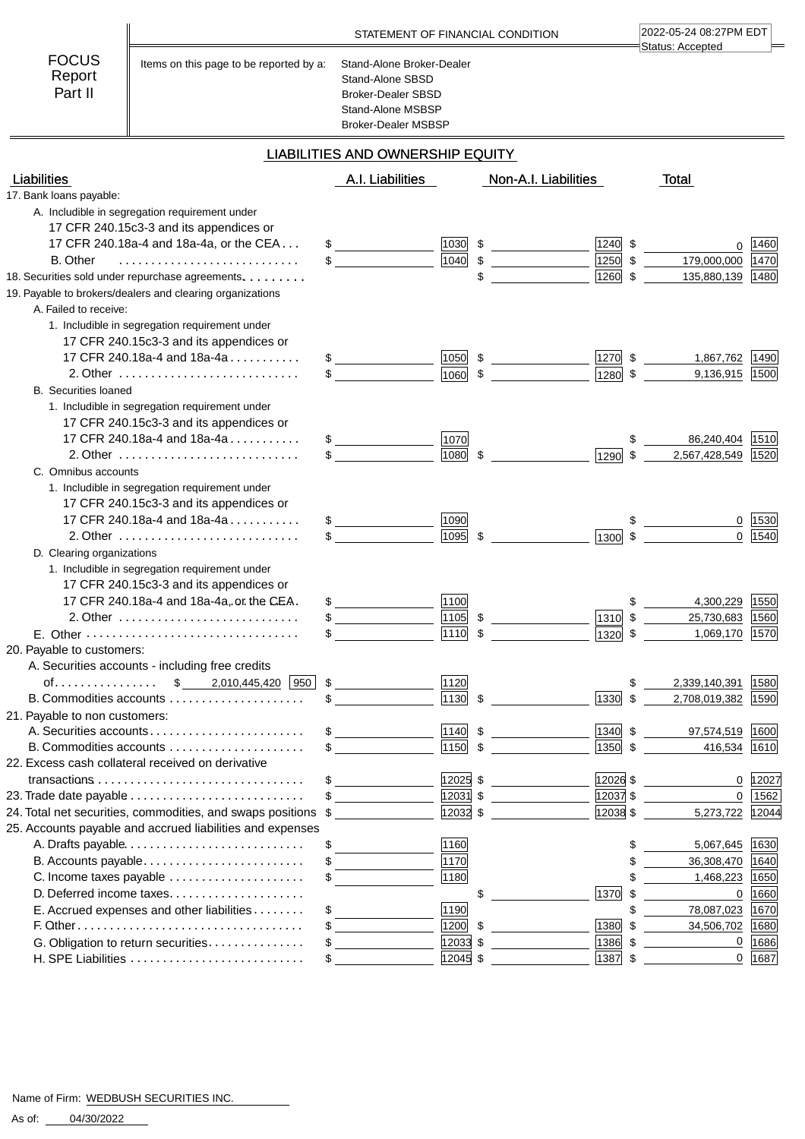|                                   |                                         | STATEMENT OF FINANCIAL CONDITION                                                                                       | 2022-05-24 08:27PM EDT<br>Status: Accepted |
|-----------------------------------|-----------------------------------------|------------------------------------------------------------------------------------------------------------------------|--------------------------------------------|
| <b>FOCUS</b><br>Report<br>Part II | Items on this page to be reported by a: | Stand-Alone Broker-Dealer<br>Stand-Alone SBSD<br>Broker-Dealer SBSD<br>Stand-Alone MSBSP<br><b>Broker-Dealer MSBSP</b> |                                            |

# LIABILITIES AND OWNERSHIP EQUITY

| Liabilities                                                                               | A.I. Liabilities |              | Non-A.I. Liabilities |                   | Total          |       |
|-------------------------------------------------------------------------------------------|------------------|--------------|----------------------|-------------------|----------------|-------|
| 17. Bank loans payable:                                                                   |                  |              |                      |                   |                |       |
| A. Includible in segregation requirement under                                            |                  |              |                      |                   |                |       |
| 17 CFR 240.15c3-3 and its appendices or                                                   |                  |              |                      |                   |                |       |
| 17 CFR 240.18a-4 and 18a-4a, or the CEA                                                   | $\frac{1}{2}$    | 1030         | 1240                 | \$                | 0              | 1460  |
| <b>B.</b> Other                                                                           | $\frac{1}{2}$    | 1040         | \$                   | $1250$ \$         | 179,000,000    | 1470  |
| 18. Securities sold under repurchase agreements.                                          |                  |              | \$<br>1260           | $\mathsf{\$}$     | 135,880,139    | 1480  |
| 19. Payable to brokers/dealers and clearing organizations                                 |                  |              |                      |                   |                |       |
| A. Failed to receive:                                                                     |                  |              |                      |                   |                |       |
| 1. Includible in segregation requirement under                                            |                  |              |                      |                   |                |       |
| 17 CFR 240.15c3-3 and its appendices or                                                   |                  |              |                      |                   |                |       |
| 17 CFR 240.18a-4 and $18a-4a$                                                             |                  | 1050         |                      | $1270$ \$         | 1,867,762 1490 |       |
|                                                                                           |                  | 1060         | 1280<br>\$           | \$                | 9,136,915 1500 |       |
| <b>B.</b> Securities loaned                                                               |                  |              |                      |                   |                |       |
| 1. Includible in segregation requirement under                                            |                  |              |                      |                   |                |       |
| 17 CFR 240.15c3-3 and its appendices or                                                   |                  |              |                      |                   |                |       |
| 17 CFR 240.18a-4 and $18a-4a$                                                             |                  | 1070         |                      |                   | 86,240,404     | 1510  |
|                                                                                           |                  | 1080         | 1290                 | \$                | 2,567,428,549  | 1520  |
| C. Omnibus accounts                                                                       |                  |              |                      |                   |                |       |
| 1. Includible in segregation requirement under                                            |                  |              |                      |                   |                |       |
| 17 CFR 240.15c3-3 and its appendices or                                                   |                  |              |                      |                   |                |       |
| 17 CFR 240.18a-4 and 18a-4a                                                               |                  | 1090         |                      |                   |                | 1530  |
|                                                                                           |                  | 1095         | 1300                 | $\mathsf{\$}$     | $\mathsf 0$    | 1540  |
|                                                                                           |                  |              |                      |                   |                |       |
| D. Clearing organizations                                                                 |                  |              |                      |                   |                |       |
| 1. Includible in segregation requirement under<br>17 CFR 240.15c3-3 and its appendices or |                  |              |                      |                   |                |       |
| 17 CFR 240.18a-4 and 18a-4a, or the CEA.                                                  |                  |              |                      |                   |                |       |
|                                                                                           | $\sim$           | 1100<br>1105 |                      |                   | 4,300,229      | 1550  |
|                                                                                           |                  | 1110         | \$<br>\$             | $ 1310 $ \$<br>\$ | 25,730,683     | 1560  |
|                                                                                           |                  |              | 1320                 |                   | 1,069,170      | 1570  |
| 20. Payable to customers:                                                                 |                  |              |                      |                   |                |       |
| A. Securities accounts - including free credits                                           |                  |              |                      |                   |                |       |
| of.<br>\$ 2,010,445,420<br> 950                                                           |                  | 1120         |                      |                   | 2,339,140,391  | 1580  |
|                                                                                           |                  | 1130         | 1330<br>\$           | \$                | 2,708,019,382  | 1590  |
| 21. Payable to non customers:                                                             |                  |              |                      |                   |                |       |
| A. Securities accounts                                                                    |                  | 1140         | \$                   | $ 1340 $ \$       | 97,574,519     | 1600  |
|                                                                                           |                  | 1150         | \$<br>1350           | \$                | 416,534        | 1610  |
| 22. Excess cash collateral received on derivative                                         |                  |              |                      |                   |                |       |
|                                                                                           |                  | 12025 \$     |                      | 12026 \$          | 0              | 12027 |
|                                                                                           |                  | 12031 \$     |                      | $12037$ \$        | 0              | 1562  |
| 24. Total net securities, commodities, and swaps positions \$                             |                  | 12032 \$     |                      | 12038 \$          | 5,273,722      | 12044 |
| 25. Accounts payable and accrued liabilities and expenses                                 |                  |              |                      |                   |                |       |
|                                                                                           |                  | 1160         |                      |                   | 5,067,645      | 1630  |
| B. Accounts payable                                                                       |                  | 1170         |                      |                   | 36,308,470     | 1640  |
| C. Income taxes payable                                                                   |                  | 1180         |                      |                   | 1,468,223      | 1650  |
|                                                                                           |                  |              | 1370<br>\$           |                   | 0              | 1660  |
| E. Accrued expenses and other liabilities                                                 | S                | 1190         |                      |                   | 78,087,023     | 1670  |
|                                                                                           |                  | 1200         | 1380<br>-\$          |                   | 34,506,702     | 1680  |
| G. Obligation to return securities.                                                       |                  | 12033 \$     | 1386                 |                   | 0              | 1686  |
|                                                                                           |                  | 12045 \$     | 1387                 |                   | 0              | 1687  |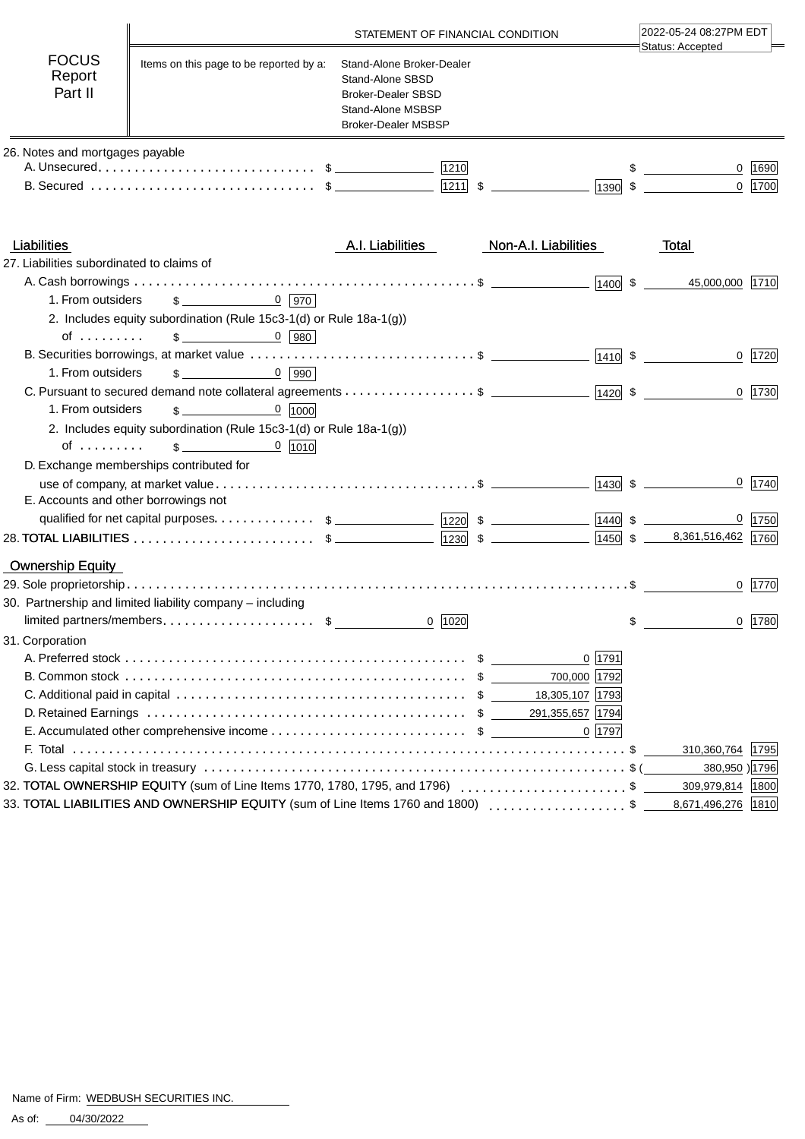|                                           |                                                                                       | STATEMENT OF FINANCIAL CONDITION                                                                                              |                      | 2022-05-24 08:27PM EDT<br>Status: Accepted |
|-------------------------------------------|---------------------------------------------------------------------------------------|-------------------------------------------------------------------------------------------------------------------------------|----------------------|--------------------------------------------|
| <b>FOCUS</b><br>Report<br>Part II         | Items on this page to be reported by a:                                               | Stand-Alone Broker-Dealer<br>Stand-Alone SBSD<br><b>Broker-Dealer SBSD</b><br>Stand-Alone MSBSP<br><b>Broker-Dealer MSBSP</b> |                      |                                            |
| 26. Notes and mortgages payable           |                                                                                       |                                                                                                                               |                      |                                            |
|                                           |                                                                                       |                                                                                                                               |                      | $0$   1690<br>$\frac{1}{2}$                |
|                                           |                                                                                       |                                                                                                                               |                      | $1390$ \$<br>$0$ 1700                      |
| Liabilities                               |                                                                                       | A.I. Liabilities                                                                                                              | Non-A.I. Liabilities | Total                                      |
| 27. Liabilities subordinated to claims of |                                                                                       |                                                                                                                               |                      |                                            |
|                                           |                                                                                       |                                                                                                                               |                      | 45,000,000 1710                            |
| 1. From outsiders                         | $\frac{6}{970}$                                                                       |                                                                                                                               |                      |                                            |
|                                           | 2. Includes equity subordination (Rule 15c3-1(d) or Rule 18a-1(g))                    |                                                                                                                               |                      |                                            |
| of $\ldots$                               | $\frac{6}{5}$ 980                                                                     |                                                                                                                               |                      |                                            |
|                                           |                                                                                       |                                                                                                                               |                      | $0$ 1720                                   |
| 1. From outsiders                         | $\frac{6}{990}$                                                                       |                                                                                                                               |                      |                                            |
|                                           |                                                                                       |                                                                                                                               |                      | $0$ 1730                                   |
| 1. From outsiders                         | $0$ 1000<br>$\frac{1}{2}$                                                             |                                                                                                                               |                      |                                            |
|                                           | 2. Includes equity subordination (Rule 15c3-1(d) or Rule 18a-1(g))                    |                                                                                                                               |                      |                                            |
|                                           | of $\frac{2}{1010}$                                                                   |                                                                                                                               |                      |                                            |
|                                           | D. Exchange memberships contributed for                                               |                                                                                                                               |                      |                                            |
|                                           |                                                                                       |                                                                                                                               |                      | $0$ 1740                                   |
| E. Accounts and other borrowings not      |                                                                                       |                                                                                                                               |                      |                                            |
|                                           | qualified for net capital purposes $\frac{20}{1220}$ \$                               |                                                                                                                               |                      | $0$ 1750                                   |
|                                           |                                                                                       |                                                                                                                               |                      |                                            |
| <b>Ownership Equity</b>                   |                                                                                       |                                                                                                                               |                      |                                            |
|                                           |                                                                                       |                                                                                                                               |                      | 0 1770                                     |
|                                           | 30. Partnership and limited liability company - including                             |                                                                                                                               |                      |                                            |
|                                           | limited partners/members\$                                                            | $0$ 1020                                                                                                                      |                      | $0$ 1780<br>\$                             |
| 31. Corporation                           |                                                                                       |                                                                                                                               |                      |                                            |
|                                           |                                                                                       |                                                                                                                               | 0 1791               |                                            |
|                                           |                                                                                       |                                                                                                                               | 700,000 1792         |                                            |
|                                           |                                                                                       |                                                                                                                               |                      |                                            |
|                                           |                                                                                       |                                                                                                                               | 291,355,657 1794     |                                            |
|                                           |                                                                                       |                                                                                                                               | $0$  1797            |                                            |
|                                           |                                                                                       |                                                                                                                               |                      | 310,360,764 1795                           |
|                                           |                                                                                       |                                                                                                                               |                      | 380,950 ) 1796                             |
|                                           | 32. TOTAL OWNERSHIP EQUITY (sum of Line Items 1770, 1780, 1795, and 1796) $\ldots$ \$ |                                                                                                                               |                      | 309,979,814   1800                         |
|                                           | 33. TOTAL LIABILITIES AND OWNERSHIP EQUITY (sum of Line Items 1760 and 1800) \$       |                                                                                                                               |                      | 8,671,496,276 1810                         |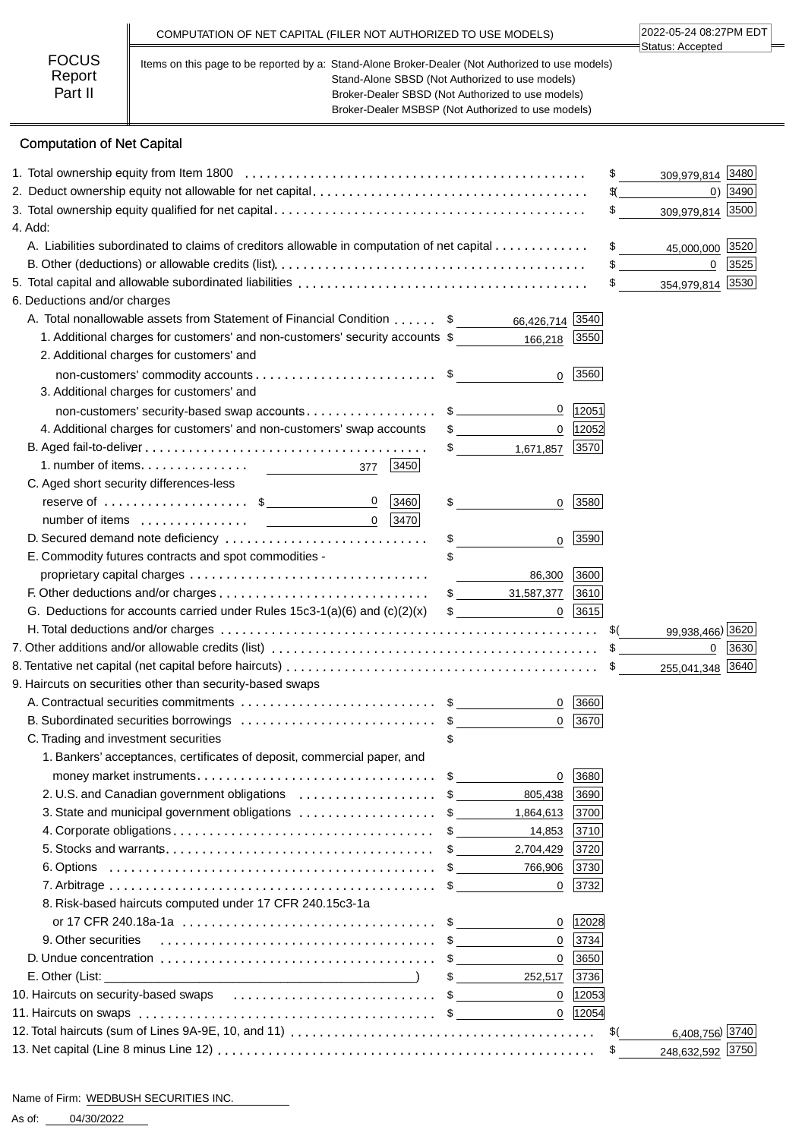|                                   | COMPUTATION OF NET CAPITAL (FILER NOT AUTHORIZED TO USE MODELS)                                                                                                                                                                                                | 2022-05-24 08:27PM EDT<br>Status: Accepted |
|-----------------------------------|----------------------------------------------------------------------------------------------------------------------------------------------------------------------------------------------------------------------------------------------------------------|--------------------------------------------|
| <b>FOCUS</b><br>Report<br>Part II | Items on this page to be reported by a: Stand-Alone Broker-Dealer (Not Authorized to use models)<br>Stand-Alone SBSD (Not Authorized to use models)<br>Broker-Dealer SBSD (Not Authorized to use models)<br>Broker-Dealer MSBSP (Not Authorized to use models) |                                            |

# Computation of Net Capital

|                                                                                            |                                  |             | $\frac{1}{\sqrt{2}}$<br>309,979,814 3480                   |           |
|--------------------------------------------------------------------------------------------|----------------------------------|-------------|------------------------------------------------------------|-----------|
|                                                                                            |                                  |             | $\frac{1}{2}$                                              | $0)$ 3490 |
|                                                                                            |                                  |             | $\frac{1}{2}$<br>309,979,814 3500                          |           |
| 4. Add:                                                                                    |                                  |             |                                                            |           |
| A. Liabilities subordinated to claims of creditors allowable in computation of net capital |                                  |             | $\frac{1}{\sqrt{2}}$<br>45,000,000 3520                    |           |
|                                                                                            |                                  |             | 0<br>$\frac{1}{2}$                                         | 3525      |
|                                                                                            |                                  |             | $\frac{1}{2}$<br>354,979,814 3530                          |           |
| 6. Deductions and/or charges                                                               |                                  |             |                                                            |           |
| A. Total nonallowable assets from Statement of Financial Condition \$ 66,426,714 5540      |                                  |             |                                                            |           |
| 1. Additional charges for customers' and non-customers' security accounts \$               | 166,218                          | 3550        |                                                            |           |
| 2. Additional charges for customers' and                                                   |                                  |             |                                                            |           |
|                                                                                            | $\mathbf 0$                      | 3560        |                                                            |           |
| 3. Additional charges for customers' and                                                   |                                  |             |                                                            |           |
| non-customers' security-based swap accounts\$ ________________                             | 0                                | 12051       |                                                            |           |
| 4. Additional charges for customers' and non-customers' swap accounts                      | $\frac{1}{2}$<br>$\overline{0}$  | 12052       |                                                            |           |
|                                                                                            | 1,671,857                        | 3570        |                                                            |           |
| 1. number of items.<br>3450<br>377                                                         |                                  |             |                                                            |           |
| C. Aged short security differences-less                                                    |                                  |             |                                                            |           |
| $\mathbf 0$<br>reserve of $\dots\dots\dots\dots\dots\dots$ \$<br> 3460                     | $\mathbb{S}$<br>$\mathbf 0$      | 3580        |                                                            |           |
| $0$   3470                                                                                 |                                  |             |                                                            |           |
|                                                                                            | \$<br>$\overline{0}$             | 3590        |                                                            |           |
| E. Commodity futures contracts and spot commodities -                                      |                                  |             |                                                            |           |
|                                                                                            | 86,300                           | 3600        |                                                            |           |
|                                                                                            | $$ \_{}$ 31,587,377 3610         |             |                                                            |           |
| G. Deductions for accounts carried under Rules $15c3-1(a)(6)$ and $(c)(2)(x)$              | $\overline{0}$<br>$\mathfrak{S}$ | 3615        |                                                            |           |
|                                                                                            |                                  |             | 99,938,466) 3620                                           |           |
|                                                                                            |                                  |             | 0                                                          | 3630      |
|                                                                                            |                                  |             | 255,041,348 3640                                           |           |
| 9. Haircuts on securities other than security-based swaps                                  |                                  |             |                                                            |           |
|                                                                                            |                                  | 0   3660    |                                                            |           |
| B. Subordinated securities borrowings \$                                                   | $\mathbf{0}$                     | 3670        |                                                            |           |
| C. Trading and investment securities                                                       |                                  |             |                                                            |           |
| 1. Bankers' acceptances, certificates of deposit, commercial paper, and                    |                                  |             |                                                            |           |
|                                                                                            |                                  |             |                                                            |           |
|                                                                                            |                                  |             |                                                            |           |
|                                                                                            | 0                                | 3680        |                                                            |           |
| 2. U.S. and Canadian government obligations \$                                             | 805,438                          | 3690        |                                                            |           |
| 3. State and municipal government obligations \$                                           | 1,864,613 3700                   |             |                                                            |           |
|                                                                                            | 14,853                           | 3710        |                                                            |           |
|                                                                                            | 2,704,429                        | 3720        |                                                            |           |
|                                                                                            | 766,906                          | 3730        |                                                            |           |
|                                                                                            | $\overline{0}$                   | 3732        |                                                            |           |
| 8. Risk-based haircuts computed under 17 CFR 240.15c3-1a                                   |                                  |             |                                                            |           |
|                                                                                            |                                  | $0$   12028 |                                                            |           |
| 9. Other securities                                                                        |                                  | $0$ 3734    |                                                            |           |
|                                                                                            |                                  | 0   3650    |                                                            |           |
|                                                                                            | 252,517 3736<br>$\sim$           |             |                                                            |           |
| 10. Haircuts on security-based swaps \$                                                    |                                  | $0$   12053 |                                                            |           |
|                                                                                            | $\overline{0}$                   | 12054       |                                                            |           |
|                                                                                            |                                  |             | 6,408,756) 3740<br>$\frac{1}{2}$<br>248,632,592 3750<br>\$ |           |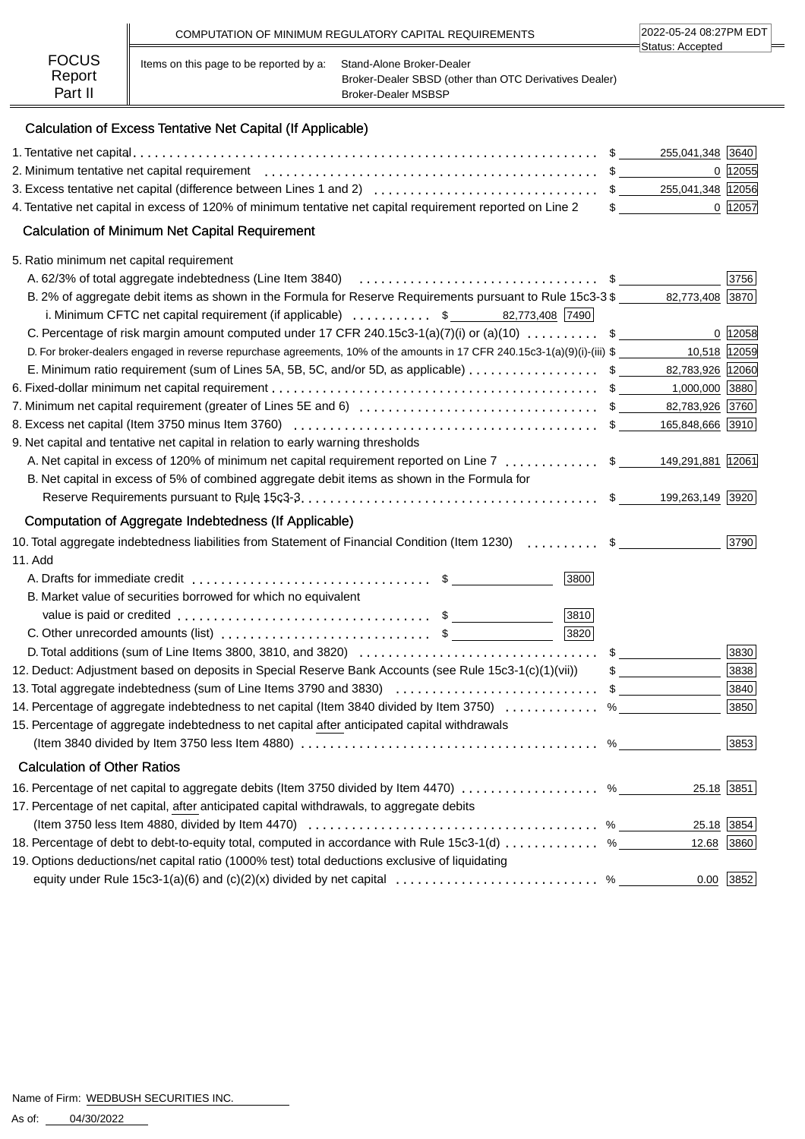|                                   |                                         | COMPUTATION OF MINIMUM REGULATORY CAPITAL REQUIREMENTS                                                            | 2022-05-24 08:27PM EDT<br>∃Status: Accepted |
|-----------------------------------|-----------------------------------------|-------------------------------------------------------------------------------------------------------------------|---------------------------------------------|
| <b>FOCUS</b><br>Report<br>Part II | Items on this page to be reported by a: | Stand-Alone Broker-Dealer<br>Broker-Dealer SBSD (other than OTC Derivatives Dealer)<br><b>Broker-Dealer MSBSP</b> |                                             |

# Calculation of Excess Tentative Net Capital (If Applicable)

|                                                                                                                                 | 255,041,348 3640  |             |
|---------------------------------------------------------------------------------------------------------------------------------|-------------------|-------------|
|                                                                                                                                 |                   | 0 12055     |
|                                                                                                                                 |                   |             |
| 4. Tentative net capital in excess of 120% of minimum tentative net capital requirement reported on Line 2                      | $\sim$            | 0 12057     |
| <b>Calculation of Minimum Net Capital Requirement</b>                                                                           |                   |             |
| 5. Ratio minimum net capital requirement                                                                                        |                   |             |
| A. 62/3% of total aggregate indebtedness (Line Item 3840) <i>immersion</i> content to the server of the server server to        |                   | 3756        |
| B. 2% of aggregate debit items as shown in the Formula for Reserve Requirements pursuant to Rule 15c3-3 \$                      | 82,773,408 3870   |             |
| i. Minimum CFTC net capital requirement (if applicable) $\ldots \ldots \ldots$ \$ 82,773,408 7490                               |                   |             |
| C. Percentage of risk margin amount computed under 17 CFR 240.15c3-1(a)(7)(i) or (a)(10) $\ldots \ldots \ldots$ \$              |                   | 0  12058    |
| D. For broker-dealers engaged in reverse repurchase agreements, 10% of the amounts in 17 CFR 240.15c3-1(a)(9)(i)-(iii) \$       | 10,518 12059      |             |
| E. Minimum ratio requirement (sum of Lines 5A, 5B, 5C, and/or 5D, as applicable) \$                                             | 82,783,926 12060  |             |
|                                                                                                                                 | 1,000,000 3880    |             |
| 7. Minimum net capital requirement (greater of Lines 5E and 6) \$ 6. 82,783,926 3760                                            |                   |             |
|                                                                                                                                 | 165,848,666 3910  |             |
| 9. Net capital and tentative net capital in relation to early warning thresholds                                                |                   |             |
| A. Net capital in excess of 120% of minimum net capital requirement reported on Line 7  \$                                      | 149,291,881 12061 |             |
| B. Net capital in excess of 5% of combined aggregate debit items as shown in the Formula for                                    |                   |             |
|                                                                                                                                 | 199,263,149 3920  |             |
| Computation of Aggregate Indebtedness (If Applicable)                                                                           |                   |             |
| 10. Total aggregate indebtedness liabilities from Statement of Financial Condition (Item 1230)  \$                              |                   | 3790        |
| 11. Add                                                                                                                         |                   |             |
| 3800                                                                                                                            |                   |             |
| B. Market value of securities borrowed for which no equivalent                                                                  |                   |             |
| 3810                                                                                                                            |                   |             |
| 3820<br>C. Other unrecorded amounts (list) $\dots \dots \dots \dots \dots \dots \dots \dots$ \$                                 |                   |             |
|                                                                                                                                 |                   | 3830        |
| 12. Deduct: Adjustment based on deposits in Special Reserve Bank Accounts (see Rule 15c3-1(c)(1)(vii))                          |                   | 3838        |
| 13. Total aggregate indebtedness (sum of Line Items 3790 and 3830) \$                                                           |                   | 3840        |
| 14. Percentage of aggregate indebtedness to net capital (Item 3840 divided by Item 3750)  %                                     |                   | 3850        |
| 15. Percentage of aggregate indebtedness to net capital after anticipated capital withdrawals                                   |                   |             |
|                                                                                                                                 |                   | 3853        |
| <b>Calculation of Other Ratios</b>                                                                                              |                   |             |
| 16. Percentage of net capital to aggregate debits (Item 3750 divided by Item 4470)  %                                           |                   | 25.18 3851  |
| 17. Percentage of net capital, after anticipated capital withdrawals, to aggregate debits                                       |                   |             |
| (Item 3750 less Item 4880, divided by Item 4470) $\ldots \ldots \ldots \ldots \ldots \ldots \ldots \ldots \ldots \ldots \ldots$ |                   | 25.18 3854  |
| 18. Percentage of debt to debt-to-equity total, computed in accordance with Rule 15c3-1(d)  %                                   | 12.68             | 3860        |
| 19. Options deductions/net capital ratio (1000% test) total deductions exclusive of liquidating                                 |                   |             |
|                                                                                                                                 |                   | $0.00$ 3852 |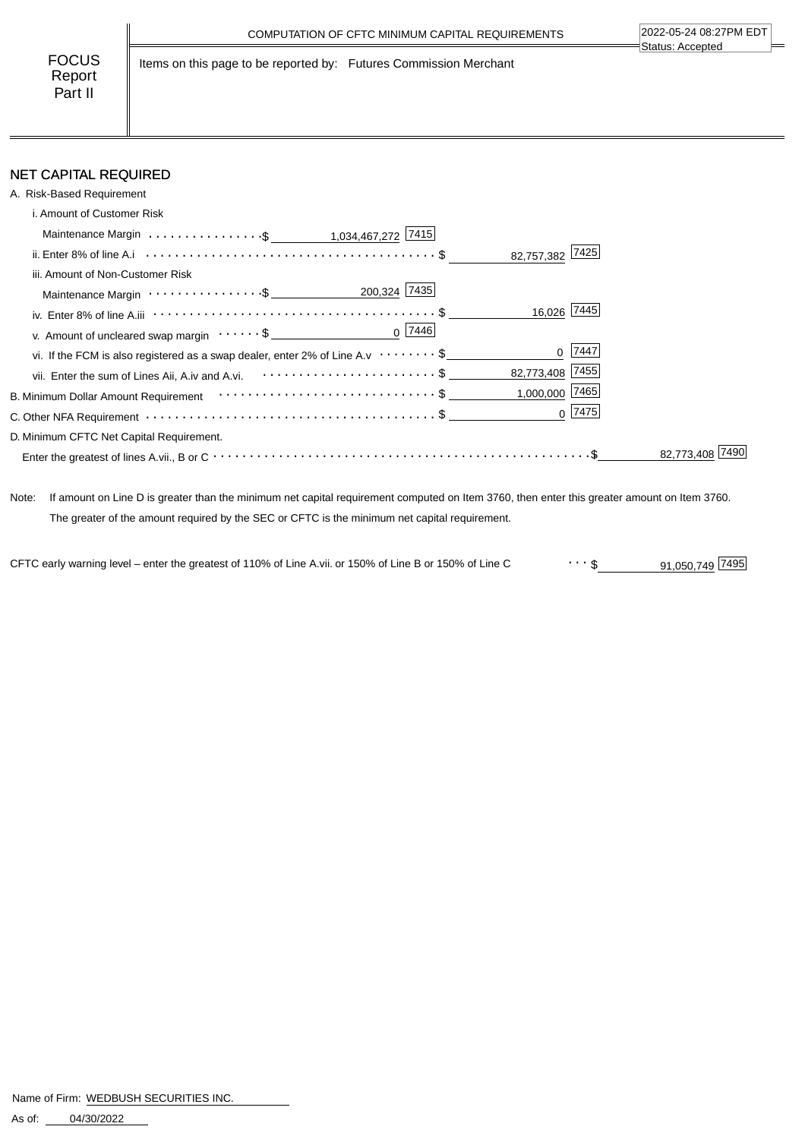FOCUS Report Part II

Items on this page to be reported by: Futures Commission Merchant

## NET CAPITAL REQUIRED

| A. Risk-Based Requirement                                                                                                         |                     |           |
|-----------------------------------------------------------------------------------------------------------------------------------|---------------------|-----------|
| i. Amount of Customer Risk                                                                                                        |                     |           |
| Maintenance Margin $\ldots \ldots \ldots \ldots \ldots$ \$ 1,034,467,272 7415                                                     |                     |           |
|                                                                                                                                   | 82,757,382 7425     |           |
| iii. Amount of Non-Customer Risk                                                                                                  |                     |           |
|                                                                                                                                   |                     |           |
| iv. Enter 8% of line A.iii $\cdots \cdots \cdots \cdots \cdots \cdots \cdots \cdots \cdots \cdots \cdots \cdots \cdots$           | 16,026 7445         |           |
| v. Amount of uncleared swap margin $\cdots \cdots$ \$                                                                             |                     |           |
| vi. If the FCM is also registered as a swap dealer, enter 2% of Line A.v $\cdots \cdots$ \$                                       | 7447<br>$\mathbf 0$ |           |
| vii. Enter the sum of Lines Aii, A.iv and A.vi. $\cdots \cdots \cdots \cdots \cdots \cdots \cdots$ \$                             | 82,773,408 7455     |           |
| B. Minimum Dollar Amount Requirement $\cdots\cdots\cdots\cdots\cdots\cdots\cdots\cdots\cdots\cdots$                               | 1,000,000 7465      |           |
| C. Other NFA Requirement $\cdots \cdots \cdots \cdots \cdots \cdots \cdots \cdots \cdots \cdots \cdots \cdots$ \$ _______________ | $0$   7475          |           |
| D. Minimum CFTC Net Capital Requirement.                                                                                          |                     |           |
|                                                                                                                                   |                     | 82.773.40 |
|                                                                                                                                   |                     |           |

Note: If amount on Line D is greater than the minimum net capital requirement computed on Item 3760, then enter this greater amount on Item 3760. The greater of the amount required by the SEC or CFTC is the minimum net capital requirement.

91,050,749 \$ CFTC early warning level – enter the greatest of 110% of Line A.vii. or 150% of Line B or 150% of Line C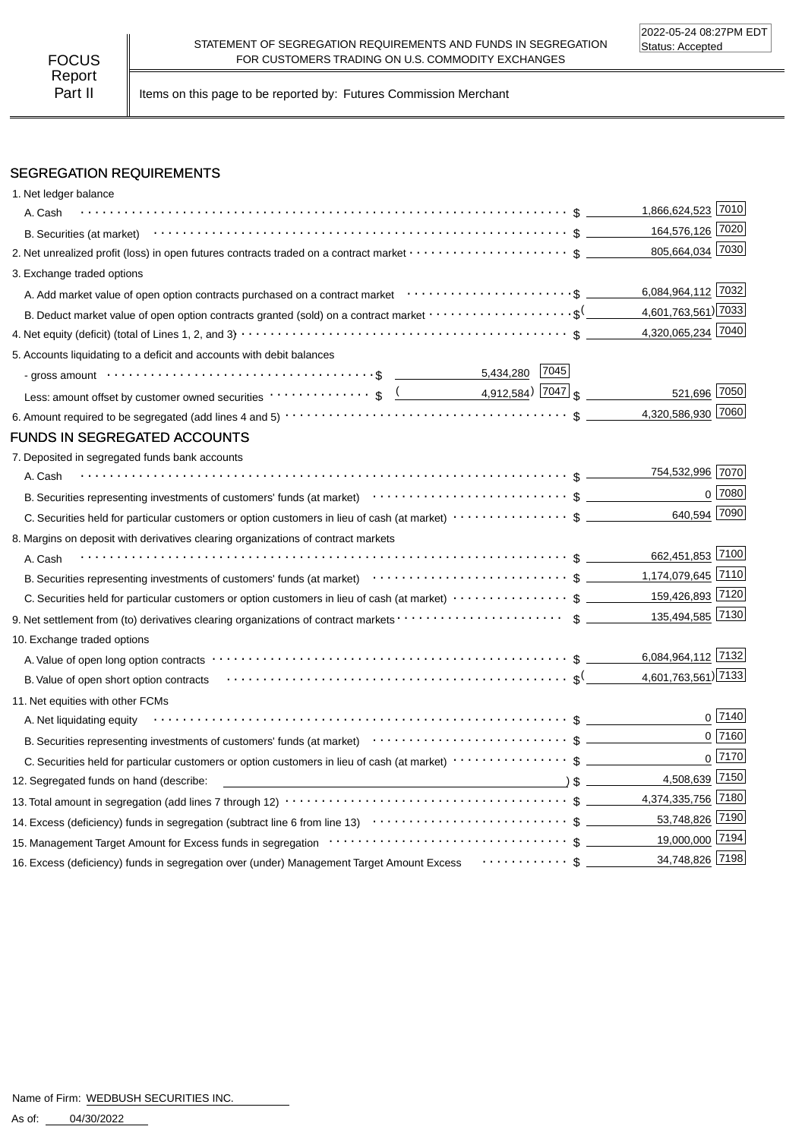Part II | Items on this page to be reported by: Futures Commission Merchant

## SEGREGATION REQUIREMENTS

| 1. Net ledger balance                                                                                                                                                                                                          |                     |                |
|--------------------------------------------------------------------------------------------------------------------------------------------------------------------------------------------------------------------------------|---------------------|----------------|
| A. Cash                                                                                                                                                                                                                        | 1,866,624,523 7010  |                |
|                                                                                                                                                                                                                                | 164,576,126 7020    |                |
|                                                                                                                                                                                                                                | 805,664,034 7030    |                |
| 3. Exchange traded options                                                                                                                                                                                                     |                     |                |
| A. Add market value of open option contracts purchased on a contract market enter-inferent content of the substantial point of the substantial A. Add market point of the substantial point of the substantial point of the su | 6,084,964,112 7032  |                |
| B. Deduct market value of open option contracts granted (sold) on a contract market $\cdots\cdots\cdots\cdots\cdots\cdots$ \$ <sup>(</sup>                                                                                     | 4,601,763,561) 7033 |                |
|                                                                                                                                                                                                                                | 4,320,065,234 7040  |                |
| 5. Accounts liquidating to a deficit and accounts with debit balances                                                                                                                                                          |                     |                |
| 5,434,280 7045                                                                                                                                                                                                                 |                     |                |
| Less: amount offset by customer owned securities $\cdots \cdots \cdots$ , $\frac{($ 4,912,584) $\boxed{7047}$ $\frac{1}{3}$                                                                                                    | 521,696 7050        |                |
|                                                                                                                                                                                                                                | 4,320,586,930 7060  |                |
| FUNDS IN SEGREGATED ACCOUNTS                                                                                                                                                                                                   |                     |                |
| 7. Deposited in segregated funds bank accounts                                                                                                                                                                                 |                     |                |
| A. Cash                                                                                                                                                                                                                        | 754,532,996 7070    |                |
| B. Securities representing investments of customers' funds (at market) (at market) (b) content to serve that the securities representing investments of customers' funds (at market) (b) content to serve that the securities  |                     | $0$ 7080       |
|                                                                                                                                                                                                                                | 640,594 7090        |                |
| 8. Margins on deposit with derivatives clearing organizations of contract markets                                                                                                                                              |                     |                |
| A. Cash                                                                                                                                                                                                                        | 662,451,853 7100    |                |
| B. Securities representing investments of customers' funds (at market)<br>$\cdots$ $\cdots$ $\cdots$ $\cdots$ $\cdots$ $\cdots$ $\cdots$ $\cdots$ $\cdots$ $\cdots$ $\cdots$ $\cdots$ $\cdots$                                 | 1,174,079,645 7110  |                |
|                                                                                                                                                                                                                                |                     |                |
|                                                                                                                                                                                                                                | 135,494,585 7130    |                |
| 10. Exchange traded options                                                                                                                                                                                                    |                     |                |
|                                                                                                                                                                                                                                | 6,084,964,112 7132  |                |
|                                                                                                                                                                                                                                |                     |                |
| 11. Net equities with other FCMs                                                                                                                                                                                               |                     |                |
| A. Net liquidating equity                                                                                                                                                                                                      |                     | $0\sqrt{7140}$ |
| B. Securities representing investments of customers' funds (at market)<br>$\cdots$ $\cdots$ $\uparrow$ $\cdots$ $\uparrow$ $\qquad$                                                                                            |                     | 0 7160         |
|                                                                                                                                                                                                                                |                     | $0\sqrt{7170}$ |
| 12. Segregated funds on hand (describe:                                                                                                                                                                                        | 4,508,639 7150      |                |
|                                                                                                                                                                                                                                |                     |                |
|                                                                                                                                                                                                                                | 53,748,826 7190     |                |
|                                                                                                                                                                                                                                | 19,000,000 7194     |                |
| 16. Excess (deficiency) funds in segregation over (under) Management Target Amount Excess  \$                                                                                                                                  | 34,748,826 7198     |                |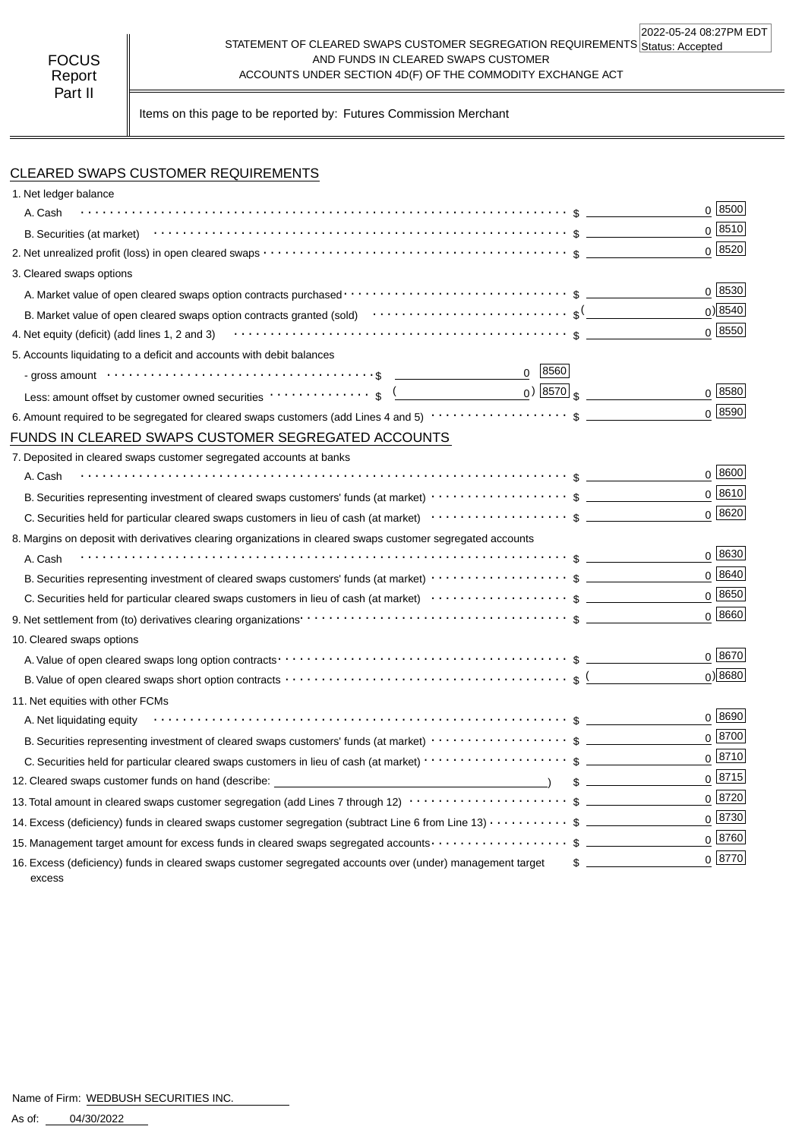#### STATEMENT OF CLEARED SWAPS CUSTOMER SEGREGATION REQUIREMENTS Status: Accepted AND FUNDS IN CLEARED SWAPS CUSTOMER ACCOUNTS UNDER SECTION 4D(F) OF THE COMMODITY EXCHANGE ACT 2022-05-24 08:27PM EDT

Items on this page to be reported by: Futures Commission Merchant

## CLEARED SWAPS CUSTOMER REQUIREMENTS

| 1. Net ledger balance                                                                                                                          |                       |             |
|------------------------------------------------------------------------------------------------------------------------------------------------|-----------------------|-------------|
| A. Cash                                                                                                                                        |                       | 0 8500      |
|                                                                                                                                                |                       | $0^{8510}$  |
|                                                                                                                                                |                       | 0 8520      |
| 3. Cleared swaps options                                                                                                                       |                       |             |
|                                                                                                                                                |                       | 0 8530      |
| B. Market value of open cleared swaps option contracts granted (sold) $\cdots\cdots\cdots\cdots\cdots\cdots\cdots\cdots\cdots$ \$ <sup>(</sup> |                       | $0)$ 8540   |
| 4. Net equity (deficit) (add lines 1, 2 and 3) $\cdots \cdots \cdots \cdots \cdots \cdots \cdots \cdots \cdots \cdots \cdots \cdots \cdots$    |                       | $0 \; 8550$ |
| 5. Accounts liquidating to a deficit and accounts with debit balances                                                                          |                       |             |
| $0$ 8560<br>- gross amount $\cdots$ $\cdots$ $\cdots$ $\cdots$ $\cdots$ $\cdots$ $\cdots$ $\cdots$ $\cdots$ $\cdots$ $\cdots$ $\cdots$         |                       |             |
| Less: amount offset by customer owned securities $\cdots \cdots \cdots \cdots$ \$ $\qquad \qquad$                                              | $_0)$ 8570 $_{\rm S}$ | $0^{8580}$  |
|                                                                                                                                                |                       | $0^{8590}$  |
| FUNDS IN CLEARED SWAPS CUSTOMER SEGREGATED ACCOUNTS                                                                                            |                       |             |
| 7. Deposited in cleared swaps customer segregated accounts at banks                                                                            |                       |             |
| A. Cash                                                                                                                                        |                       | 0 8600      |
|                                                                                                                                                |                       | 0 8610      |
|                                                                                                                                                |                       | 0 8620      |
| 8. Margins on deposit with derivatives clearing organizations in cleared swaps customer segregated accounts                                    |                       |             |
| A. Cash                                                                                                                                        |                       | 0   8630    |
|                                                                                                                                                |                       | 0 8640      |
|                                                                                                                                                |                       | 0 8650      |
|                                                                                                                                                |                       | $0^{860}$   |
| 10. Cleared swaps options                                                                                                                      |                       |             |
|                                                                                                                                                |                       | $0^{8670}$  |
| B. Value of open cleared swaps short option contracts $\cdots\cdots\cdots\cdots\cdots\cdots\cdots\cdots\cdots\cdots\cdots\cdots$ s (           |                       | $0$ ) 8680  |
| 11. Net equities with other FCMs                                                                                                               |                       |             |
| A. Net liquidating equity                                                                                                                      |                       | $0^{8690}$  |
|                                                                                                                                                |                       | 0 8700      |
|                                                                                                                                                |                       | 0 8710      |
| 12. Cleared swaps customer funds on hand (describe: _____________________________                                                              | $\frac{1}{2}$         | $0 \ 8715$  |
|                                                                                                                                                |                       | 0 8720      |
| 14. Excess (deficiency) funds in cleared swaps customer segregation (subtract Line 6 from Line 13) $\cdots \cdots \cdots$ \$                   |                       | 0 8730      |
| 15. Management target amount for excess funds in cleared swaps segregated accounts $\cdots\cdots\cdots\cdots\cdots\$                           |                       | 0 8760      |
| 16. Excess (deficiency) funds in cleared swaps customer segregated accounts over (under) management target<br>excess                           |                       | 0 8770      |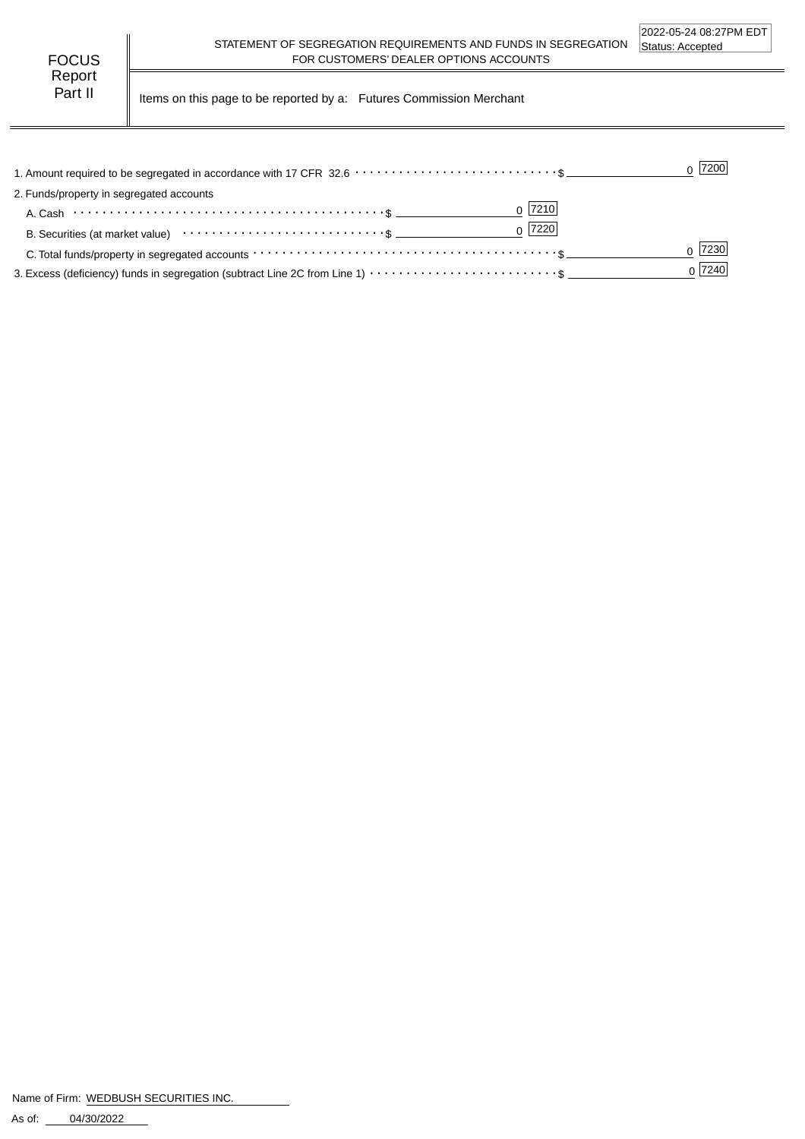Part II | Items on this page to be reported by a: Futures Commission Merchant

| 2. Funds/property in segregated accounts |         |
|------------------------------------------|---------|
| $0$  7210                                |         |
| 0 7220                                   |         |
|                                          |         |
|                                          | ი  7240 |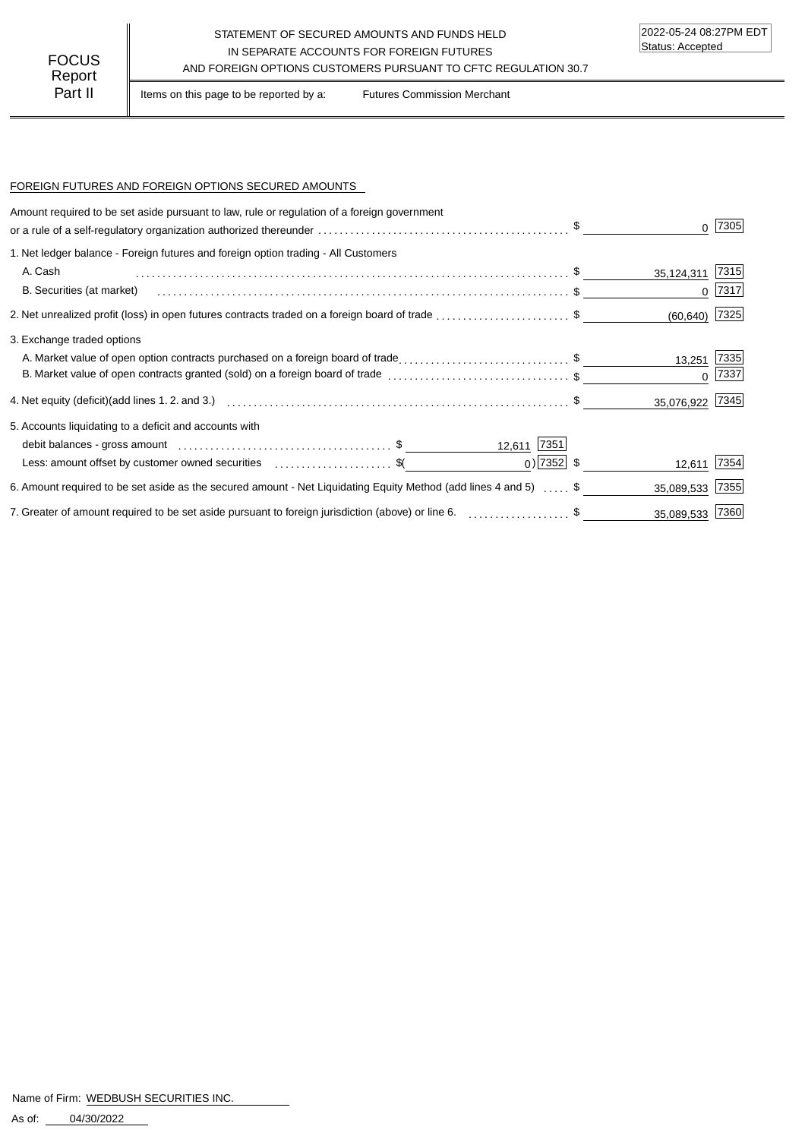## STATEMENT OF SECURED AMOUNTS AND FUNDS HELD IN SEPARATE ACCOUNTS FOR FOREIGN FUTURES FOCUS IN SEPARATE ACCOUNTS FOR FOREIGN FUTURES<br>Report

Part II | Items on this page to be reported by a: Futures Commission Merchant

### FOREIGN FUTURES AND FOREIGN OPTIONS SECURED AMOUNTS

| Amount required to be set aside pursuant to law, rule or regulation of a foreign government                        |                  | 7305 |
|--------------------------------------------------------------------------------------------------------------------|------------------|------|
| 1. Net ledger balance - Foreign futures and foreign option trading - All Customers                                 |                  |      |
| A. Cash                                                                                                            | 35,124,311       | 7315 |
| B. Securities (at market)                                                                                          | $\mathbf 0$      | 7317 |
| 2. Net unrealized profit (loss) in open futures contracts traded on a foreign board of trade ………………………………………\$     | $(60, 640)$ 7325 |      |
| 3. Exchange traded options                                                                                         |                  |      |
| A. Market value of open option contracts purchased on a foreign board of trade\$                                   | 13,251           | 7335 |
| B. Market value of open contracts granted (sold) on a foreign board of trade \$                                    | $\Omega$         | 7337 |
|                                                                                                                    | 35,076,922 7345  |      |
| 5. Accounts liquidating to a deficit and accounts with                                                             |                  |      |
| 12,611 7351                                                                                                        |                  |      |
| Less: amount offset by customer owned securities \$ \$ (17352) \$                                                  | 12,611           | 7354 |
| 6. Amount required to be set aside as the secured amount - Net Liquidating Equity Method (add lines 4 and 5) …… \$ | 35,089,533       | 7355 |
| 7. Greater of amount required to be set aside pursuant to foreign jurisdiction (above) or line 6. \$               | 35,089,533 7360  |      |